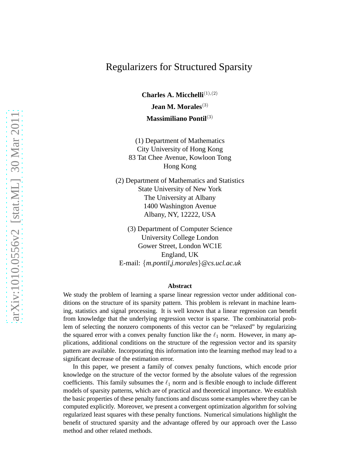## Regularizers for Structured Sparsity

**Charles A. Micchelli**<sup>(1),(2)</sup> **Jean M. Morales**(3) **Massimiliano Pontil**(3)

(1) Department of Mathematics City University of Hong Kong 83 Tat Chee Avenue, Kowloon Tong Hong Kong

(2) Department of Mathematics and Statistics State University of New York The University at Albany 1400 Washington Avenue Albany, NY, 12222, USA

(3) Department of Computer Science University College London Gower Street, London WC1E England, UK E-mail: {*m.pontil,j.morales*}*@cs.ucl.ac.uk*

#### **Abstract**

We study the problem of learning a sparse linear regression vector under additional conditions on the structure of its sparsity pattern. This problem is relevant in machine learning, statistics and signal processing. It is well known that a linear regression can benefit from knowledge that the underlying regression vector is sparse. The combinatorial problem of selecting the nonzero components of this vector can be "relaxed" by regularizing the squared error with a convex penalty function like the  $\ell_1$  norm. However, in many applications, additional conditions on the structure of the regression vector and its sparsity pattern are available. Incorporating this information into the learning method may lead to a significant decrease of the estimation error.

In this paper, we present a family of convex penalty functions, which encode prior knowledge on the structure of the vector formed by the absolute values of the regression coefficients. This family subsumes the  $\ell_1$  norm and is flexible enough to include different models of sparsity patterns, which are of practical and theoretical importance. We establish the basic properties of these penalty functions and discuss some examples where they can be computed explicitly. Moreover, we present a convergent optimization algorithm for solving regularized least squares with these penalty functions. Numerical simulations highlight the benefit of structured sparsity and the advantage offered by our approach over the Lasso method and other related methods.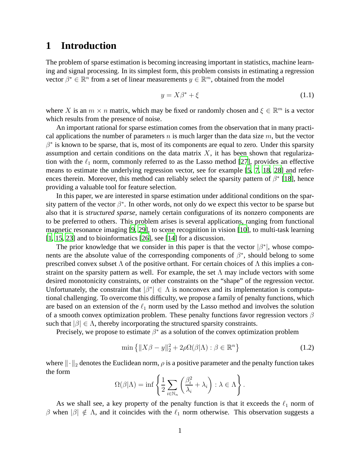### **1 Introduction**

The problem of sparse estimation is becoming increasing important in statistics, machine learning and signal processing. In its simplest form, this problem consists in estimating a regression vector  $\beta^* \in \mathbb{R}^n$  from a set of linear measurements  $y \in \mathbb{R}^m$ , obtained from the model

$$
y = X\beta^* + \xi \tag{1.1}
$$

where X is an  $m \times n$  matrix, which may be fixed or randomly chosen and  $\xi \in \mathbb{R}^m$  is a vector which results from the presence of noise.

An important rational for sparse estimation comes from the observation that in many practical applications the number of parameters n is much larger than the data size  $m$ , but the vector  $\beta^*$  is known to be sparse, that is, most of its components are equal to zero. Under this sparsity assumption and certain conditions on the data matrix  $X$ , it has been shown that regularization with the  $\ell_1$  norm, commonly referred to as the Lasso method [\[27](#page-33-0)], provides an effective means to estimate the underlying regression vector, see for example [\[5](#page-31-0), [7,](#page-31-1) [18,](#page-32-0) [28\]](#page-33-1) and references therein. Moreover, this method can reliably select the sparsity pattern of  $\beta^*$  [\[18\]](#page-32-0), hence providing a valuable tool for feature selection.

In this paper, we are interested in sparse estimation under additional conditions on the sparsity pattern of the vector  $\beta^*$ . In other words, not only do we expect this vector to be sparse but also that it is *structured sparse*, namely certain configurations of its nonzero components are to be preferred to others. This problem arises is several applications, ranging from functional magnetic resonance imaging [\[9](#page-31-2), [29](#page-33-2)], to scene recognition in vision [\[10\]](#page-31-3), to multi-task learning [\[1,](#page-31-4) [15,](#page-32-1) [23](#page-32-2)] and to bioinformatics [\[26\]](#page-33-3), see [\[14\]](#page-32-3) for a discussion.

The prior knowledge that we consider in this paper is that the vector  $|\beta^*|$ , whose components are the absolute value of the corresponding components of  $\beta^*$ , should belong to some prescribed convex subset  $\Lambda$  of the positive orthant. For certain choices of  $\Lambda$  this implies a constraint on the sparsity pattern as well. For example, the set  $\Lambda$  may include vectors with some desired monotonicity constraints, or other constraints on the "shape" of the regression vector. Unfortunately, the constraint that  $|\beta^*| \in \Lambda$  is nonconvex and its implementation is computational challenging. To overcome this difficulty, we propose a family of penalty functions, which are based on an extension of the  $\ell_1$  norm used by the Lasso method and involves the solution of a smooth convex optimization problem. These penalty functions favor regression vectors  $\beta$ such that  $|\beta| \in \Lambda$ , thereby incorporating the structured sparsity constraints.

Precisely, we propose to estimate  $\beta^*$  as a solution of the convex optimization problem

<span id="page-1-0"></span>
$$
\min\left\{ \|X\beta - y\|_2^2 + 2\rho\Omega(\beta|\Lambda) : \beta \in \mathbb{R}^n \right\} \tag{1.2}
$$

where  $\|\cdot\|_2$  denotes the Euclidean norm,  $\rho$  is a positive parameter and the penalty function takes the form

$$
\Omega(\beta|\Lambda) = \inf \left\{ \frac{1}{2} \sum_{i \in \mathbb{N}_n} \left( \frac{\beta_i^2}{\lambda_i} + \lambda_i \right) : \lambda \in \Lambda \right\}.
$$

As we shall see, a key property of the penalty function is that it exceeds the  $\ell_1$  norm of β when  $|\beta| \notin \Lambda$ , and it coincides with the  $\ell_1$  norm otherwise. This observation suggests a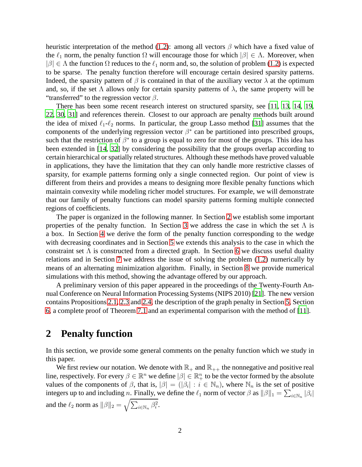heuristic interpretation of the method [\(1.2\)](#page-1-0): among all vectors  $\beta$  which have a fixed value of the  $\ell_1$  norm, the penalty function  $\Omega$  will encourage those for which  $|\beta| \in \Lambda$ . Moreover, when  $|\beta| \in \Lambda$  the function  $\Omega$  reduces to the  $\ell_1$  norm and, so, the solution of problem [\(1.2\)](#page-1-0) is expected to be sparse. The penalty function therefore will encourage certain desired sparsity patterns. Indeed, the sparsity pattern of  $\beta$  is contained in that of the auxiliary vector  $\lambda$  at the optimum and, so, if the set  $\Lambda$  allows only for certain sparsity patterns of  $\lambda$ , the same property will be "transferred" to the regression vector  $\beta$ .

There has been some recent research interest on structured sparsity, see [\[11](#page-31-5), [13,](#page-32-4) [14,](#page-32-3) [19](#page-32-5), [22,](#page-32-6) [30,](#page-33-4) [31\]](#page-33-5) and references therein. Closest to our approach are penalty methods built around the idea of mixed  $\ell_1-\ell_2$  norms. In particular, the group Lasso method [\[31](#page-33-5)] assumes that the components of the underlying regression vector  $\beta^*$  can be partitioned into prescribed groups, such that the restriction of  $\beta^*$  to a group is equal to zero for most of the groups. This idea has been extended in [\[14](#page-32-3), [32](#page-33-6)] by considering the possibility that the groups overlap according to certain hierarchical or spatially related structures. Although these methods have proved valuable in applications, they have the limitation that they can only handle more restrictive classes of sparsity, for example patterns forming only a single connected region. Our point of view is different from theirs and provides a means to designing more flexible penalty functions which maintain convexity while modeling richer model structures. For example, we will demonstrate that our family of penalty functions can model sparsity patterns forming multiple connected regions of coefficients.

The paper is organized in the following manner. In Section [2](#page-2-0) we establish some important properties of the penalty function. In Section [3](#page-7-0) we address the case in which the set  $\Lambda$  is a box. In Section [4](#page-8-0) we derive the form of the penalty function corresponding to the wedge with decreasing coordinates and in Section [5](#page-12-0) we extends this analysis to the case in which the constraint set  $\Lambda$  is constructed from a directed graph. In Section [6](#page-16-0) we discuss useful duality relations and in Section [7](#page-18-0) we address the issue of solving the problem [\(1.2\)](#page-1-0) numerically by means of an alternating minimization algorithm. Finally, in Section [8](#page-21-0) we provide numerical simulations with this method, showing the advantage offered by our approach.

A preliminary version of this paper appeared in the proceedings of the Twenty-Fourth Annual Conference on Neural Information Processing Systems (NIPS 2010) [\[21\]](#page-32-7). The new version contains Propositions [2.1,](#page-4-0) [2.3](#page-5-0) and [2.4,](#page-6-0) the description of the graph penalty in Section [5,](#page-12-0) Section [6,](#page-16-0) a complete proof of Theorem [7.1](#page-19-0) and an experimental comparison with the method of [\[11\]](#page-31-5).

## <span id="page-2-0"></span>**2 Penalty function**

In this section, we provide some general comments on the penalty function which we study in this paper.

We first review our notation. We denote with  $\mathbb{R}_+$  and  $\mathbb{R}_{++}$  the nonnegative and positive real line, respectively. For every  $\beta \in \mathbb{R}^n$  we define  $|\beta| \in \mathbb{R}^n_+$  to be the vector formed by the absolute values of the components of  $\beta$ , that is,  $|\beta| = (|\beta_i| : i \in \mathbb{N}_n)$ , where  $\mathbb{N}_n$  is the set of positive integers up to and including n. Finally, we define the  $\ell_1$  norm of vector  $\beta$  as  $||\beta||_1 = \sum_{i \in \mathbb{N}_n} |\beta_i|$ and the  $\ell_2$  norm as  $\|\beta\|_2 = \sqrt{\sum_{i \in \mathbb{N}_n} \beta_i^2}$ .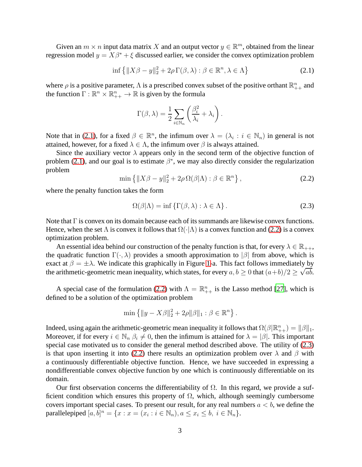Given an  $m \times n$  input data matrix X and an output vector  $y \in \mathbb{R}^m$ , obtained from the linear regression model  $y = X\beta^* + \xi$  discussed earlier, we consider the convex optimization problem

<span id="page-3-0"></span>
$$
\inf \left\{ \|X\beta - y\|_2^2 + 2\rho \Gamma(\beta, \lambda) : \beta \in \mathbb{R}^n, \lambda \in \Lambda \right\}
$$
 (2.1)

where  $\rho$  is a positive parameter,  $\Lambda$  is a prescribed convex subset of the positive orthant  $\mathbb{R}^n_{++}$  and the function  $\Gamma : \mathbb{R}^n \times \mathbb{R}^n_{++} \to \mathbb{R}$  is given by the formula

$$
\Gamma(\beta,\lambda) = \frac{1}{2} \sum_{i \in \mathbb{N}_n} \left( \frac{\beta_i^2}{\lambda_i} + \lambda_i \right).
$$

Note that in [\(2.1\)](#page-3-0), for a fixed  $\beta \in \mathbb{R}^n$ , the infimum over  $\lambda = (\lambda_i : i \in \mathbb{N}_n)$  in general is not attained, however, for a fixed  $\lambda \in \Lambda$ , the infimum over  $\beta$  is always attained.

Since the auxiliary vector  $\lambda$  appears only in the second term of the objective function of problem [\(2.1\)](#page-3-0), and our goal is to estimate  $\beta^*$ , we may also directly consider the regularization problem

<span id="page-3-1"></span>
$$
\min\left\{\|X\beta - y\|_2^2 + 2\rho\,\Omega(\beta|\Lambda) : \beta \in \mathbb{R}^n\right\},\tag{2.2}
$$

where the penalty function takes the form

<span id="page-3-2"></span>
$$
\Omega(\beta|\Lambda) = \inf \{ \Gamma(\beta, \lambda) : \lambda \in \Lambda \}. \tag{2.3}
$$

Note that Γ is convex on its domain because each of its summands are likewise convex functions. Hence, when the set  $\Lambda$  is convex it follows that  $\Omega(\cdot|\Lambda)$  is a convex function and [\(2.2\)](#page-3-1) is a convex optimization problem.

An essential idea behind our construction of the penalty function is that, for every  $\lambda \in \mathbb{R}_{++}$ , the quadratic function  $\Gamma(\cdot, \lambda)$  provides a smooth approximation to  $|\beta|$  from above, which is exact at  $\beta = \pm \lambda$ . We indicate this graphically in Figure [1-](#page-4-1)a. This fact follows immediately by the arithmetic-geometric mean inequality, which states, for every  $a, b \ge 0$  that  $(a+b)/2 \ge \sqrt{ab}$ .

A special case of the formulation [\(2.2\)](#page-3-1) with  $\Lambda = \mathbb{R}_{++}^n$  is the Lasso method [\[27\]](#page-33-0), which is defined to be a solution of the optimization problem

$$
\min\left\{\|y - X\beta\|_2^2 + 2\rho\|\beta\|_1 : \beta \in \mathbb{R}^n\right\}.
$$

Indeed, using again the arithmetic-geometric mean inequality it follows that  $\Omega(\beta | \mathbb{R}_{++}^n) = ||\beta||_1$ . Moreover, if for every  $i \in \mathbb{N}_n$   $\beta_i \neq 0$ , then the infimum is attained for  $\lambda = |\beta|$ . This important special case motivated us to consider the general method described above. The utility of [\(2.3\)](#page-3-2) is that upon inserting it into [\(2.2\)](#page-3-1) there results an optimization problem over  $\lambda$  and  $\beta$  with a continuously differentiable objective function. Hence, we have succeeded in expressing a nondifferentiable convex objective function by one which is continuously differentiable on its domain.

Our first observation concerns the differentiability of  $\Omega$ . In this regard, we provide a sufficient condition which ensures this property of  $\Omega$ , which, although seemingly cumbersome covers important special cases. To present our result, for any real numbers  $a < b$ , we define the parallelepiped  $[a, b]^n = \{x : x = (x_i : i \in \mathbb{N}_n), a \le x_i \le b, i \in \mathbb{N}_n\}.$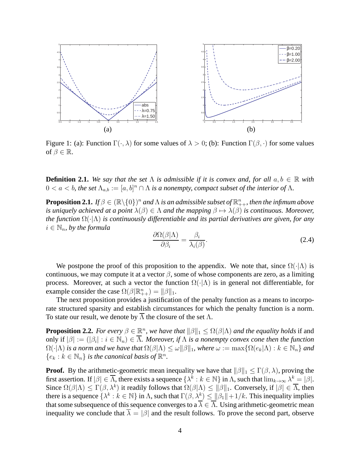

<span id="page-4-1"></span>Figure 1: (a): Function  $\Gamma(\cdot, \lambda)$  for some values of  $\lambda > 0$ ; (b): Function  $\Gamma(\beta, \cdot)$  for some values of  $\beta \in \mathbb{R}$ .

<span id="page-4-2"></span>**Definition 2.1.** We say that the set  $\Lambda$  is admissible if it is convex and, for all  $a, b \in \mathbb{R}$  with  $0 < a < b$ , the set  $\Lambda_{a,b} := [a,b]^n \cap \Lambda$  is a nonempty, compact subset of the interior of  $\Lambda$ .

**Proposition 2.1.** If  $\beta \in (\mathbb{R} \setminus \{0\})^n$  and  $\Lambda$  is an admissible subset of  $\mathbb{R}^n_{++}$ , then the infimum above *is uniquely achieved at a point*  $\lambda(\beta) \in \Lambda$  *and the mapping*  $\beta \mapsto \lambda(\beta)$  *is continuous. Moreover, the function* Ω(·|Λ) *is continuously differentiable and its partial derivatives are given, for any*  $i \in \mathbb{N}_n$ , by the formula

<span id="page-4-0"></span>
$$
\frac{\partial \Omega(\beta|\Lambda)}{\partial \beta_i} = \frac{\beta_i}{\lambda_i(\beta)}.\tag{2.4}
$$

We postpone the proof of this proposition to the appendix. We note that, since  $\Omega(\cdot|\Lambda)$  is continuous, we may compute it at a vector  $\beta$ , some of whose components are zero, as a limiting process. Moreover, at such a vector the function  $\Omega(\cdot|\Lambda)$  is in general not differentiable, for example consider the case  $\Omega(\beta | \mathbb{R}_{++}^n) = ||\beta||_1$ .

The next proposition provides a justification of the penalty function as a means to incorporate structured sparsity and establish circumstances for which the penalty function is a norm. To state our result, we denote by  $\Lambda$  the closure of the set  $\Lambda$ .

<span id="page-4-3"></span>**Proposition 2.2.** *For every*  $\beta \in \mathbb{R}^n$ , *we have that*  $\|\beta\|_1 \leq \Omega(\beta|\Lambda)$  *and the equality holds* if and only if  $|\beta| := (|\beta_i| : i \in \mathbb{N}_n) \in \overline{\Lambda}$ . Moreover, if  $\Lambda$  is a nonempty convex cone then the function  $\Omega(\cdot|\Lambda)$  *is a norm and we have that*  $\Omega(\beta|\Lambda) \leq \omega \|\beta\|_1$ , where  $\omega := \max\{\Omega(e_k|\Lambda) : k \in \mathbb{N}_n\}$  and  ${e_k : k \in \mathbb{N}_n}$  *is the canonical basis of*  $\mathbb{R}^n$ *.* 

**Proof.** By the arithmetic-geometric mean inequality we have that  $\|\beta\|_1 \leq \Gamma(\beta, \lambda)$ , proving the first assertion. If  $|\beta| \in \overline{\Lambda}$ , there exists a sequence  $\{\lambda^k : k \in \mathbb{N}\}$  in  $\Lambda$ , such that  $\lim_{k \to \infty} \lambda^k = |\beta|$ . Since  $\Omega(\beta|\Lambda) \leq \Gamma(\beta,\lambda^k)$  it readily follows that  $\Omega(\beta|\Lambda) \leq ||\beta||_1$ . Conversely, if  $|\beta| \in \overline{\Lambda}$ , then there is a sequence  $\{\lambda^k : k \in \mathbb{N}\}$  in  $\Lambda$ , such that  $\Gamma(\beta, \lambda^k) \le ||\beta_1|| + 1/k$ . This inequality implies that some subsequence of this sequence converges to a  $\overline{\lambda} \in \overline{\Lambda}$ . Using arithmetic-geometric mean inequality we conclude that  $\overline{\lambda} = |\beta|$  and the result follows. To prove the second part, observe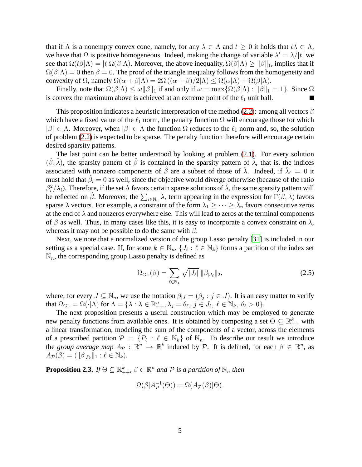that if  $\Lambda$  is a nonempty convex cone, namely, for any  $\lambda \in \Lambda$  and  $t \geq 0$  it holds that  $t\lambda \in \Lambda$ , we have that  $\Omega$  is positive homogeneous. Indeed, making the change of variable  $\lambda' = \lambda/|t|$  we see that  $\Omega(t\beta|\Lambda) = |t| \Omega(\beta|\Lambda)$ . Moreover, the above inequality,  $\Omega(\beta|\Lambda) \ge ||\beta||_1$ , implies that if  $\Omega(\beta|\Lambda) = 0$  then  $\beta = 0$ . The proof of the triangle inequality follows from the homogeneity and convexity of  $\Omega$ , namely  $\Omega(\alpha + \beta | \Lambda) = 2\Omega ((\alpha + \beta)/2 | \Lambda) \leq \Omega(\alpha | \Lambda) + \Omega(\beta | \Lambda)$ .

Finally, note that  $\Omega(\beta|\Lambda) \leq \omega \|\beta\|_1$  if and only if  $\omega = \max\{\Omega(\beta|\Lambda) : \|\beta\|_1 = 1\}$ . Since  $\Omega$ is convex the maximum above is achieved at an extreme point of the  $\ell_1$  unit ball.

This proposition indicates a heuristic interpretation of the method [\(2.2\)](#page-3-1): among all vectors  $\beta$ which have a fixed value of the  $\ell_1$  norm, the penalty function  $\Omega$  will encourage those for which  $|\beta| \in \Lambda$ . Moreover, when  $|\beta| \in \Lambda$  the function  $\Omega$  reduces to the  $\ell_1$  norm and, so, the solution of problem [\(2.2\)](#page-3-1) is expected to be sparse. The penalty function therefore will encourage certain desired sparsity patterns.

The last point can be better understood by looking at problem [\(2.1\)](#page-3-0). For every solution  $(\hat{\beta}, \hat{\lambda})$ , the sparsity pattern of  $\hat{\beta}$  is contained in the sparsity pattern of  $\hat{\lambda}$ , that is, the indices associated with nonzero components of  $\hat{\beta}$  are a subset of those of  $\hat{\lambda}$ . Indeed, if  $\hat{\lambda}_i = 0$  it must hold that  $\hat{\beta}_i = 0$  as well, since the objective would diverge otherwise (because of the ratio  $\beta_i^2/\lambda_i$ ). Therefore, if the set  $\Lambda$  favors certain sparse solutions of  $\hat{\lambda}$ , the same sparsity pattern will be reflected on  $\hat{\beta}$ . Moreover, the  $\sum_{i\in\mathbb{N}_n}\lambda_i$  term appearing in the expression for  $\Gamma(\beta,\lambda)$  favors sparse  $\lambda$  vectors. For example, a constraint of the form  $\lambda_1 \geq \cdots \geq \lambda_n$  favors consecutive zeros at the end of  $\lambda$  and nonzeros everywhere else. This will lead to zeros at the terminal components of  $\beta$  as well. Thus, in many cases like this, it is easy to incorporate a convex constraint on  $\lambda$ , whereas it may not be possible to do the same with  $\beta$ .

Next, we note that a normalized version of the group Lasso penalty [\[31\]](#page-33-5) is included in our setting as a special case. If, for some  $k \in \mathbb{N}_n$ ,  $\{J_\ell : \ell \in \mathbb{N}_k\}$  forms a partition of the index set  $\mathbb{N}_n$ , the corresponding group Lasso penalty is defined as

<span id="page-5-1"></span>
$$
\Omega_{\mathrm{GL}}(\beta) = \sum_{\ell \in \mathbb{N}_k} \sqrt{|J_{\ell}|} \, \|\beta_{|J_{\ell}}\|_2,\tag{2.5}
$$

where, for every  $J \subseteq \mathbb{N}_n$ , we use the notation  $\beta|_J = (\beta_j : j \in J)$ . It is an easy matter to verify that  $\Omega_{\text{GL}} = \Omega(\cdot | \Lambda)$  for  $\Lambda = \{ \lambda : \lambda \in \mathbb{R}_{++}^n, \lambda_j = \theta_\ell, j \in J_\ell, \ell \in \mathbb{N}_k, \theta_\ell > 0 \}.$ 

The next proposition presents a useful construction which may be employed to generate new penalty functions from available ones. It is obtained by composing a set  $\Theta \subseteq \mathbb{R}_{++}^k$  with a linear transformation, modeling the sum of the components of a vector, across the elements of a prescribed partition  $\mathcal{P} = \{P_\ell : \ell \in \mathbb{N}_k\}$  of  $\mathbb{N}_n$ . To describe our result we introduce the *group average map*  $A_{\mathcal{P}} : \mathbb{R}^n \to \mathbb{R}^k$  induced by  $\mathcal{P}$ . It is defined, for each  $\beta \in \mathbb{R}^n$ , as  $A_{\mathcal{P}}(\beta) = (\|\beta_{|P_{\ell}}\|_1 : \ell \in \mathbb{N}_k).$ 

<span id="page-5-0"></span>**Proposition 2.3.** *If*  $\Theta \subseteq \mathbb{R}_{++}^k$ ,  $\beta \in \mathbb{R}^n$  *and*  $\mathcal P$  *is a partition of*  $\mathbb{N}_n$  *then* 

$$
\Omega(\beta | A_{\mathcal{P}}^{-1}(\Theta)) = \Omega(A_{\mathcal{P}}(\beta)|\Theta).
$$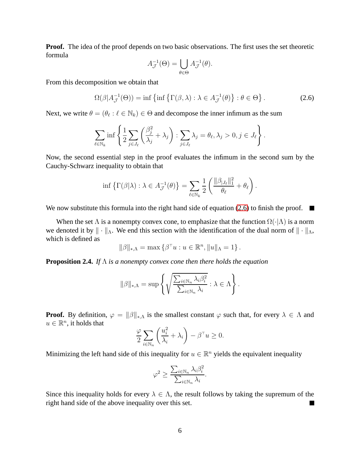**Proof.** The idea of the proof depends on two basic observations. The first uses the set theoretic formula

$$
A_{\mathcal{J}}^{-1}(\Theta) = \bigcup_{\theta \in \Theta} A_{\mathcal{J}}^{-1}(\theta).
$$

From this decomposition we obtain that

<span id="page-6-1"></span>
$$
\Omega(\beta | A_{\mathcal{J}}^{-1}(\Theta)) = \inf \left\{ \inf \left\{ \Gamma(\beta, \lambda) : \lambda \in A_{\mathcal{J}}^{-1}(\theta) \right\} : \theta \in \Theta \right\}.
$$
 (2.6)

Next, we write  $\theta = (\theta_\ell : \ell \in \mathbb{N}_k) \in \Theta$  and decompose the inner infimum as the sum

$$
\sum_{\ell \in \mathbb{N}_k} \inf \left\{ \frac{1}{2} \sum_{j \in J_\ell} \left( \frac{\beta_j^2}{\lambda_j} + \lambda_j \right) : \sum_{j \in J_\ell} \lambda_j = \theta_\ell, \lambda_j > 0, j \in J_\ell \right\}.
$$

Now, the second essential step in the proof evaluates the infimum in the second sum by the Cauchy-Schwarz inequality to obtain that

$$
\inf \left\{ \Gamma(\beta|\lambda) : \lambda \in A_{\mathcal{J}}^{-1}(\theta) \right\} = \sum_{\ell \in \mathbb{N}_k} \frac{1}{2} \left( \frac{\|\beta_{|J_{\ell}}\|_1^2}{\theta_{\ell}} + \theta_{\ell} \right).
$$

We now substitute this formula into the right hand side of equation [\(2.6\)](#page-6-1) to finish the proof.  $\blacksquare$ 

When the set  $\Lambda$  is a nonempty convex cone, to emphasize that the function  $\Omega(\cdot|\Lambda)$  is a norm we denoted it by  $\|\cdot\|_{\Lambda}$ . We end this section with the identification of the dual norm of  $\|\cdot\|_{\Lambda}$ , which is defined as

$$
\|\beta\|_{*,\Lambda} = \max\left\{\beta^\top u: u \in \mathbb{R}^n, \|u\|_{\Lambda} = 1\right\}.
$$

**Proposition 2.4.** *If* Λ *is a nonempty convex cone then there holds the equation*

<span id="page-6-0"></span>
$$
\|\beta\|_{*,\Lambda} = \sup \left\{ \sqrt{\frac{\sum_{i \in \mathbb{N}_n} \lambda_i \beta_i^2}{\sum_{i \in \mathbb{N}_n} \lambda_i}} : \lambda \in \Lambda \right\}.
$$

**Proof.** By definition,  $\varphi = ||\beta||_{*,\Lambda}$  is the smallest constant  $\varphi$  such that, for every  $\lambda \in \Lambda$  and  $u \in \mathbb{R}^n$ , it holds that

$$
\frac{\varphi}{2} \sum_{i \in \mathbb{N}_n} \left( \frac{u_i^2}{\lambda_i} + \lambda_i \right) - \beta^\top u \ge 0.
$$

Minimizing the left hand side of this inequality for  $u \in \mathbb{R}^n$  yields the equivalent inequality

$$
\varphi^2 \ge \frac{\sum_{i \in \mathbb{N}_n} \lambda_i \beta_i^2}{\sum_{i \in \mathbb{N}_n} \lambda_i}.
$$

Since this inequality holds for every  $\lambda \in \Lambda$ , the result follows by taking the supremum of the right hand side of the above inequality over this set. right hand side of the above inequality over this set.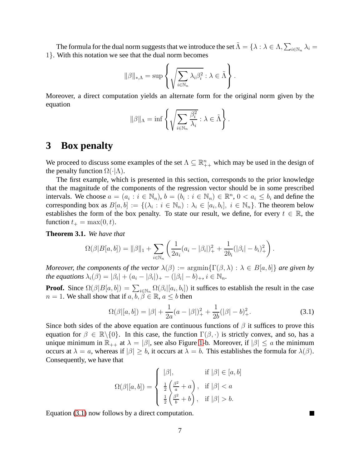The formula for the dual norm suggests that we introduce the set  $\tilde{\Lambda} = \{ \lambda : \lambda \in \Lambda, \sum_{i \in \mathbb{N}_n} \lambda_i =$ 1}. With this notation we see that the dual norm becomes

$$
\|\beta\|_{*,\Lambda} = \sup \left\{ \sqrt{\sum_{i \in \mathbb{N}_n} \lambda_i \beta_i^2} : \lambda \in \tilde{\Lambda} \right\}.
$$

Moreover, a direct computation yields an alternate form for the original norm given by the equation

$$
\|\beta\|_{\Lambda} = \inf \left\{ \sqrt{\sum_{i \in \mathbb{N}_n} \frac{\beta_i^2}{\lambda_i}} : \lambda \in \tilde{\Lambda} \right\}.
$$

## <span id="page-7-0"></span>**3 Box penalty**

We proceed to discuss some examples of the set  $\Lambda \subseteq \mathbb{R}_{++}^n$  which may be used in the design of the penalty function  $\Omega(\cdot|\Lambda)$ .

The first example, which is presented in this section, corresponds to the prior knowledge that the magnitude of the components of the regression vector should be in some prescribed intervals. We choose  $a = (a_i : i \in \mathbb{N}_n)$ ,  $b = (b_i : i \in \mathbb{N}_n) \in \mathbb{R}^n$ ,  $0 < a_i \leq b_i$  and define the corresponding box as  $B[a, b] := \{(\lambda_i : i \in \mathbb{N}_n) : \lambda_i \in [a_i, b_i], i \in \mathbb{N}_n\}$ . The theorem below establishes the form of the box penalty. To state our result, we define, for every  $t \in \mathbb{R}$ , the function  $t_+ = \max(0, t)$ .

<span id="page-7-2"></span>**Theorem 3.1.** *We have that*

$$
\Omega(\beta|B[a,b]) = \|\beta\|_1 + \sum_{i \in \mathbb{N}_n} \left( \frac{1}{2a_i}(a_i - |\beta_i|)_+^2 + \frac{1}{2b_i}(|\beta_i| - b_i)_+^2 \right).
$$

*Moreover, the components of the vector*  $\lambda(\beta) := \operatorname{argmin} \{ \Gamma(\beta, \lambda) : \lambda \in B[a, b] \}$  *are given by the equations*  $\lambda_i(\beta) = |\beta_i| + (a_i - |\beta_i|)_+ - (|\beta_i| - b)_+, i \in \mathbb{N}_n$ .

**Proof.** Since  $\Omega(\beta|B[a,b]) = \sum_{i \in \mathbb{N}_n} \Omega(\beta_i|[a_i,b_i])$  it suffices to establish the result in the case  $n = 1$ . We shall show that if  $a, b, \beta \in \mathbb{R}$ ,  $a \leq b$  then

<span id="page-7-1"></span>
$$
\Omega(\beta|[a,b]) = |\beta| + \frac{1}{2a}(a - |\beta|)^2 + \frac{1}{2b}(|\beta| - b)^2_+.
$$
\n(3.1)

Since both sides of the above equation are continuous functions of  $\beta$  it suffices to prove this equation for  $\beta \in \mathbb{R}\setminus\{0\}$ . In this case, the function  $\Gamma(\beta, \cdot)$  is strictly convex, and so, has a unique minimum in  $\mathbb{R}_{++}$  at  $\lambda = |\beta|$ , see also Figure [1-](#page-4-1)b. Moreover, if  $|\beta| \leq a$  the minimum occurs at  $\lambda = a$ , whereas if  $|\beta| \ge b$ , it occurs at  $\lambda = b$ . This establishes the formula for  $\lambda(\beta)$ . Consequently, we have that

$$
\Omega(\beta|[a,b]) = \begin{cases}\n|\beta|, & \text{if } |\beta| \in [a,b] \\
\frac{1}{2} \left( \frac{\beta^2}{a} + a \right), & \text{if } |\beta| < a \\
\frac{1}{2} \left( \frac{\beta^2}{b} + b \right), & \text{if } |\beta| > b.\n\end{cases}
$$

Equation [\(3.1\)](#page-7-1) now follows by a direct computation.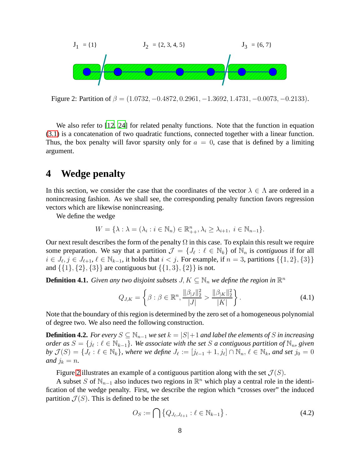

<span id="page-8-1"></span>Figure 2: Partition of  $\beta = (1.0732, -0.4872, 0.2961, -1.3692, 1.4731, -0.0073, -0.2133)$ .

We also refer to [\[12](#page-32-8), [24\]](#page-32-9) for related penalty functions. Note that the function in equation [\(3.1\)](#page-7-1) is a concatenation of two quadratic functions, connected together with a linear function. Thus, the box penalty will favor sparsity only for  $a = 0$ , case that is defined by a limiting argument.

# <span id="page-8-0"></span>**4 Wedge penalty**

In this section, we consider the case that the coordinates of the vector  $\lambda \in \Lambda$  are ordered in a nonincreasing fashion. As we shall see, the corresponding penalty function favors regression vectors which are likewise nonincreasing.

We define the wedge

$$
W = \{\lambda : \lambda = (\lambda_i : i \in \mathbb{N}_n) \in \mathbb{R}_{++}^n, \lambda_i \ge \lambda_{i+1}, i \in \mathbb{N}_{n-1}\}.
$$

Our next result describes the form of the penalty  $\Omega$  in this case. To explain this result we require some preparation. We say that a partition  $\mathcal{J} = \{J_\ell : \ell \in \mathbb{N}_k\}$  of  $\mathbb{N}_n$  is *contiguous* if for all  $i \in J_{\ell}, j \in J_{\ell+1}, \ell \in \mathbb{N}_{k-1}$ , it holds that  $i < j$ . For example, if  $n = 3$ , partitions  $\{\{1, 2\}, \{3\}\}\$ and  $\{\{1\},\{2\},\{3\}\}\$  are contiguous but  $\{\{1,3\},\{2\}\}\$ is not.

**Definition 4.1.** *Given any two disjoint subsets*  $J, K \subseteq \mathbb{N}_n$  *we define the region in*  $\mathbb{R}^n$ 

$$
Q_{J,K} = \left\{ \beta : \beta \in \mathbb{R}^n, \frac{\|\beta_{|J}\|_2^2}{|J|} > \frac{\|\beta_{|K}\|_2^2}{|K|} \right\}.
$$
 (4.1)

Note that the boundary of this region is determined by the zero set of a homogeneous polynomial of degree two. We also need the following construction.

<span id="page-8-2"></span>**Definition 4.2.** *For every*  $S \subseteq \mathbb{N}_{n-1}$  *we set*  $k = |S|+1$  *and label the elements of* S *in increasing order as*  $S = \{j_\ell : \ell \in \mathbb{N}_{k-1}\}$ . We associate with the set S a contiguous partition of  $\mathbb{N}_n$ , given  $by \mathcal{J}(S) = \{J_{\ell} : \ell \in \mathbb{N}_{k}\},\$  where we define  $J_{\ell} := [j_{\ell-1} + 1, j_{\ell}] \cap \mathbb{N}_{n}, \ell \in \mathbb{N}_{k}\}$ , and set  $j_{0} = 0$ *and*  $j_k = n$ *.* 

Figure [2](#page-8-1) illustrates an example of a contiguous partition along with the set  $\mathcal{J}(S)$ .

A subset S of  $\mathbb{N}_{n-1}$  also induces two regions in  $\mathbb{R}^n$  which play a central role in the identification of the wedge penalty. First, we describe the region which "crosses over" the induced partition  $\mathcal{J}(S)$ . This is defined to be the set

<span id="page-8-3"></span>
$$
O_S := \bigcap \{ Q_{J_{\ell}, J_{\ell+1}} : \ell \in \mathbb{N}_{k-1} \}.
$$
\n(4.2)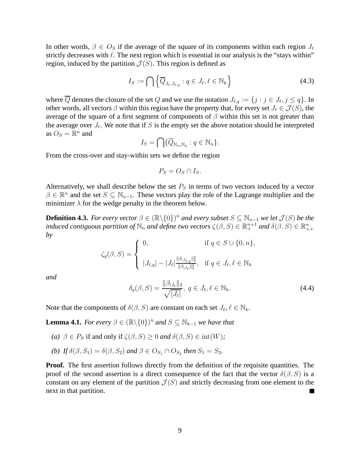In other words,  $\beta \in O_S$  if the average of the square of its components within each region  $J_{\ell}$ strictly decreases with  $\ell$ . The next region which is essential in our analysis is the "stays within" region, induced by the partition  $\mathcal{J}(S)$ . This region is defined as

<span id="page-9-1"></span>
$$
I_S := \bigcap \left\{ \overline{Q}_{J_{\ell},J_{\ell,q}} : q \in J_{\ell}, \ell \in \mathbb{N}_k \right\}
$$
\n(4.3)

where  $\overline{Q}$  denotes the closure of the set Q and we use the notation  $J_{\ell,q} := \{j : j \in J_{\ell}, j \le q\}$ . In other words, all vectors  $\beta$  within this region have the property that, for every set  $J_{\ell} \in \mathcal{J}(S)$ , the average of the square of a first segment of components of  $\beta$  within this set is not greater than the average over  $J_{\ell}$ . We note that if S is the empty set the above notation should be interpreted as  $O_S = \mathbb{R}^n$  and

$$
I_S = \bigcap \{ \overline{Q}_{\mathbb{N}_n, \mathbb{N}_q} : q \in \mathbb{N}_n \}.
$$

From the cross-over and stay-within sets we define the region

$$
P_S = O_S \cap I_S.
$$

Alternatively, we shall describe below the set  $P<sub>S</sub>$  in terms of two vectors induced by a vector  $\beta \in \mathbb{R}^n$  and the set  $S \subseteq \mathbb{N}_{n-1}$ . These vectors play the role of the Lagrange multiplier and the minimizer  $\lambda$  for the wedge penalty in the theorem below.

<span id="page-9-2"></span>**Definition 4.3.** *For every vector*  $\beta \in (\mathbb{R} \setminus \{0\})^n$  *and every subset*  $S \subseteq \mathbb{N}_{n-1}$  *we let*  $\mathcal{J}(S)$  *be the induced contiguous partition of*  $\mathbb{N}_n$  *and define two vectors*  $\zeta(\beta, S) \in \mathbb{R}^{n+1}_+$  *and*  $\delta(\beta, S) \in \mathbb{R}^n_{++}$ *by*

$$
\zeta_q(\beta, S) = \begin{cases} 0, & \text{if } q \in S \cup \{0, n\}, \\ |J_{\ell,q}| - |J_{\ell}| \frac{\|\beta_{|J_{\ell,q}}\|_2^2}{\|\beta_{|J_{\ell}}\|_2^2}, & \text{if } q \in J_{\ell}, \ell \in \mathbb{N}_k \end{cases}
$$

*and*

$$
\delta_q(\beta, S) = \frac{\|\beta_{|J_\ell}\|_2}{\sqrt{|J_\ell|}}, \ q \in J_\ell, \ell \in \mathbb{N}_k. \tag{4.4}
$$

Note that the components of  $\delta(\beta, S)$  are constant on each set  $J_{\ell}, \ell \in \mathbb{N}_{k}$ .

<span id="page-9-0"></span>**Lemma 4.1.** *For every*  $\beta \in (\mathbb{R} \setminus \{0\})^n$  *and*  $S \subseteq \mathbb{N}_{k-1}$  *we have that* 

- *(a)*  $\beta \in P_S$  if and only if  $\zeta(\beta, S) \geq 0$  *and*  $\delta(\beta, S) \in \text{int}(W)$ ;
- *(b) If*  $\delta(\beta, S_1) = \delta(\beta, S_2)$  *and*  $\beta \in O_{S_1} \cap O_{S_2}$  *then*  $S_1 = S_2$ *.*

**Proof.** The first assertion follows directly from the definition of the requisite quantities. The proof of the second assertion is a direct consequence of the fact that the vector  $\delta(\beta, S)$  is a constant on any element of the partition  $\mathcal{J}(S)$  and strictly decreasing from one element to the next in that partition.  $\blacksquare$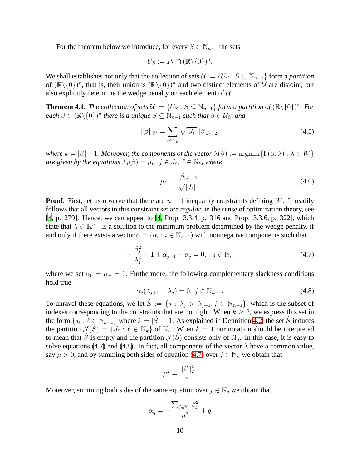For the theorem below we introduce, for every  $S \in \mathbb{N}_{n-1}$  the sets

$$
U_S := P_S \cap (\mathbb{R} \backslash \{0\})^n.
$$

We shall establishes not only that the collection of sets  $\mathcal{U} := \{U_S : S \subseteq \mathbb{N}_{n-1}\}\)$  form a *partition* of  $(\mathbb{R}\setminus\{0\})^n$ , that is, their union is  $(\mathbb{R}\setminus\{0\})^n$  and two distinct elements of U are disjoint, but also explicitly determine the wedge penalty on each element of  $U$ .

<span id="page-10-3"></span>**Theorem 4.1.** *The collection of sets*  $\mathcal{U} := \{U_S : S \subseteq \mathbb{N}_{n-1}\}$  *form a partition of*  $(\mathbb{R} \setminus \{0\})^n$ *. For*  $each \beta \in (\mathbb{R} \backslash \{0\})^n$  there is a unique  $S \subseteq \mathbb{N}_{n-1}$  such that  $\beta \in \mathcal{U}_S$ , and

$$
\|\beta\|_{W} = \sum_{\ell \in \mathbb{N}_k} \sqrt{|J_{\ell}|} \|\beta_{|J_{\ell}}\|_{2},\tag{4.5}
$$

*where*  $k = |S| + 1$ *. Moreover, the components of the vector*  $\lambda(\beta) := \argmin \{ \Gamma(\beta, \lambda) : \lambda \in W \}$ *are given by the equations*  $\lambda_j(\beta) = \mu_{\ell}, \ j \in J_{\ell}, \ \ell \in \mathbb{N}_k$ , where

<span id="page-10-2"></span>
$$
\mu_{\ell} = \frac{\|\beta_{|J_{\ell}}\|_2}{\sqrt{|J_{\ell}|}}.
$$
\n(4.6)

**Proof.** First, let us observe that there are  $n - 1$  inequality constraints defining W. It readily follows that all vectors in this constraint set are *regular*, in the sense of optimization theory, see [\[4,](#page-31-6) p. 279]. Hence, we can appeal to [\[4](#page-31-6), Prop. 3.3.4, p. 316 and Prop. 3.3.6, p. 322], which state that  $\lambda \in \mathbb{R}_{++}^n$  is a solution to the minimum problem determined by the wedge penalty, if and only if there exists a vector  $\alpha = (\alpha_i : i \in \mathbb{N}_{n-1})$  with nonnegative components such that

<span id="page-10-0"></span>
$$
-\frac{\beta_j^2}{\lambda_j^2} + 1 + \alpha_{j-1} - \alpha_j = 0, \quad j \in \mathbb{N}_n,
$$
\n(4.7)

where we set  $\alpha_0 = \alpha_n = 0$ . Furthermore, the following complementary slackness conditions hold true

<span id="page-10-1"></span>
$$
\alpha_j(\lambda_{j+1} - \lambda_j) = 0, \ j \in \mathbb{N}_{n-1}.
$$
\n
$$
(4.8)
$$

To unravel these equations, we let  $\hat{S} := \{j : \lambda_j > \lambda_{j+1}, j \in \mathbb{N}_{n-1}\}$ , which is the subset of indexes corresponding to the constraints that are not tight. When  $k \geq 2$ , we express this set in the form  $\{j_\ell : \ell \in \mathbb{N}_{k-1}\}$  where  $k = |\hat{S}| + 1$ . As explained in Definition [4.2,](#page-8-2) the set  $\hat{S}$  induces the partition  $\mathcal{J}(\hat{S}) = \{J_\ell : \ell \in \mathbb{N}_k\}$  of  $\mathbb{N}_n$ . When  $k = 1$  our notation should be interpreted to mean that  $\hat{S}$  is empty and the partition  $\mathcal{J}(\hat{S})$  consists only of  $\mathbb{N}_n$ . In this case, it is easy to solve equations [\(4.7\)](#page-10-0) and [\(4.8\)](#page-10-1). In fact, all components of the vector  $\lambda$  have a common value, say  $\mu > 0$ , and by summing both sides of equation [\(4.7\)](#page-10-0) over  $j \in \mathbb{N}_n$  we obtain that

$$
\mu^2 = \frac{\|\beta\|_2^2}{n}.
$$

Moreover, summing both sides of the same equation over  $j \in \mathbb{N}_q$  we obtain that

$$
\alpha_q = -\frac{\sum_{j \in \mathbb{N}_q} \beta_j^2}{\mu^2} + q
$$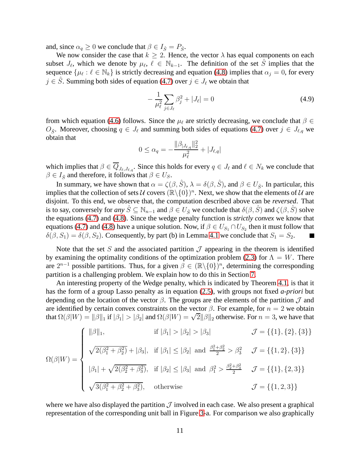and, since  $\alpha_q \geq 0$  we conclude that  $\beta \in I_{\hat{S}} = P_{\hat{S}}$ .

We now consider the case that  $k \geq 2$ . Hence, the vector  $\lambda$  has equal components on each subset  $J_{\ell}$ , which we denote by  $\mu_{\ell}$ ,  $\ell \in \mathbb{N}_{k-1}$ . The definition of the set  $\hat{S}$  implies that the sequence  $\{\mu_\ell : \ell \in \mathbb{N}_k\}$  is strictly decreasing and equation [\(4.8\)](#page-10-1) implies that  $\alpha_j = 0$ , for every  $j \in \hat{S}$ . Summing both sides of equation [\(4.7\)](#page-10-0) over  $j \in J_{\ell}$  we obtain that

$$
-\frac{1}{\mu_{\ell}^2} \sum_{j \in J_{\ell}} \beta_j^2 + |J_{\ell}| = 0
$$
\n(4.9)

from which equation [\(4.6\)](#page-10-2) follows. Since the  $\mu_{\ell}$  are strictly decreasing, we conclude that  $\beta \in$  $O_{\hat{S}}$ . Moreover, choosing  $q \in J_{\ell}$  and summing both sides of equations [\(4.7\)](#page-10-0) over  $j \in J_{\ell,q}$  we obtain that

$$
0 \leq \alpha_q = -\frac{\|\beta_{|J_{\ell,q}}\|_2^2}{\mu_{\ell}^2} + |J_{\ell,q}|
$$

which implies that  $\beta \in \overline{Q}_{J_{\ell},J_{\ell,q}}$ . Since this holds for every  $q \in J_{\ell}$  and  $\ell \in N_k$  we conclude that  $\beta \in I_{\hat{S}}$  and therefore, it follows that  $\beta \in U_S$ .

In summary, we have shown that  $\alpha = \zeta(\beta, \hat{S})$ ,  $\lambda = \delta(\beta, \hat{S})$ , and  $\beta \in U_{\hat{S}}$ . In particular, this implies that the collection of sets  $\mathcal U$  covers  $(\mathbb R\setminus\{0\})^n$ . Next, we show that the elements of  $\mathcal U$  are disjoint. To this end, we observe that, the computation described above can be *reversed*. That is to say, conversely for *any*  $S \subseteq \mathbb{N}_{n-1}$  and  $\beta \in U_{\hat{S}}$  we conclude that  $\delta(\beta, S)$  and  $\zeta(\beta, S)$  solve the equations [\(4.7\)](#page-10-0) and [\(4.8\)](#page-10-1). Since the wedge penalty function is *strictly convex* we know that equations [\(4.7\)](#page-10-0) and [\(4.8\)](#page-10-1) have a unique solution. Now, if  $\beta \in U_{S_1} \cap U_{S_2}$  then it must follow that  $\delta(\beta, S_1) = \delta(\beta, S_2)$ . Consequently, by part (b) in Lemma [4.1](#page-9-0) we conclude that  $S_1 = S_2$ .  $\blacksquare$ 

Note that the set S and the associated partition  $\mathcal J$  appearing in the theorem is identified by examining the optimality conditions of the optimization problem [\(2.3\)](#page-3-2) for  $\Lambda = W$ . There are  $2^{n-1}$  possible partitions. Thus, for a given  $\beta \in (\mathbb{R} \setminus \{0\})^n$ , determining the corresponding partition is a challenging problem. We explain how to do this in Section [7.](#page-18-0)

An interesting property of the Wedge penalty, which is indicated by Theorem [4.1,](#page-10-3) is that it has the form of a group Lasso penalty as in equation [\(2.5\)](#page-5-1), with groups not fixed *a-priori* but depending on the location of the vector  $\beta$ . The groups are the elements of the partition  $\mathcal J$  and are identified by certain convex constraints on the vector  $\beta$ . For example, for  $n = 2$  we obtain that  $\Omega(\beta|W) = ||\beta||_1$  if  $|\beta_1| > |\beta_2|$  and  $\Omega(\beta|W) = \sqrt{2}||\beta||_2$  otherwise. For  $n = 3$ , we have that

$$
\Omega(\beta|W) = \begin{cases}\n|\beta|_1, & \text{if } |\beta_1| > |\beta_2| > |\beta_3| & \mathcal{J} = \{\{1\}, \{2\}, \{3\}\} \\
\sqrt{2(\beta_1^2 + \beta_2^2)} + |\beta_3|, & \text{if } |\beta_1| \le |\beta_2| \text{ and } \frac{\beta_1^2 + \beta_2^2}{2} > \beta_3^2 & \mathcal{J} = \{\{1, 2\}, \{3\}\} \\
|\beta_1| + \sqrt{2(\beta_2^2 + \beta_3^2)}, & \text{if } |\beta_2| \le |\beta_3| \text{ and } \beta_1^2 > \frac{\beta_2^2 + \beta_3^2}{2} & \mathcal{J} = \{\{1\}, \{2, 3\}\} \\
\sqrt{3(\beta_1^2 + \beta_2^2 + \beta_3^2)}, & \text{otherwise} & \mathcal{J} = \{\{1, 2, 3\}\}\n\end{cases}
$$

where we have also displayed the partition  $\mathcal J$  involved in each case. We also present a graphical representation of the corresponding unit ball in Figure [3-](#page-12-1)a. For comparison we also graphically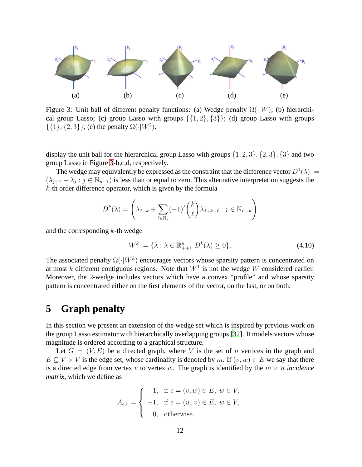

<span id="page-12-1"></span>Figure 3: Unit ball of different penalty functions: (a) Wedge penalty  $\Omega(\cdot|W)$ ; (b) hierarchical group Lasso; (c) group Lasso with groups  $\{\{1, 2\}, \{3\}\}\;$ ; (d) group Lasso with groups  $\{\{1\}, \{2, 3\}\};$  (e) the penalty  $\Omega(\cdot|W^2)$ .

display the unit ball for the hierarchical group Lasso with groups  $\{1, 2, 3\}, \{2, 3\}, \{3\}$  and two group Lasso in Figure [3-](#page-12-1)b,c,d, respectively.

The wedge may equivalently be expressed as the constraint that the difference vector  $D^1(\lambda) :=$  $(\lambda_{j+1} - \lambda_j : j \in \mathbb{N}_{n-1})$  is less than or equal to zero. This alternative interpretation suggests the  $k$ -th order difference operator, which is given by the formula

$$
D^{k}(\lambda) = \left(\lambda_{j+k} + \sum_{\ell \in \mathbb{N}_k} (-1)^{\ell} \binom{k}{\ell} \lambda_{j+k-\ell} : j \in \mathbb{N}_{n-k}\right)
$$

and the corresponding  $k$ -th wedge

<span id="page-12-2"></span>
$$
W^k := \{ \lambda : \lambda \in \mathbb{R}_{++}^n, \ D^k(\lambda) \ge 0 \}. \tag{4.10}
$$

The associated penalty  $\Omega(\cdot|W^k)$  encourages vectors whose sparsity pattern is concentrated on at most k different contiguous regions. Note that  $W^1$  is not the wedge W considered earlier. Moreover, the 2-wedge includes vectors which have a convex "profile" and whose sparsity pattern is concentrated either on the first elements of the vector, on the last, or on both.

## <span id="page-12-0"></span>**5 Graph penalty**

In this section we present an extension of the wedge set which is inspired by previous work on the group Lasso estimator with hierarchically overlapping groups [\[32\]](#page-33-6). It models vectors whose magnitude is ordered according to a graphical structure.

Let  $G = (V, E)$  be a directed graph, where V is the set of n vertices in the graph and  $E \subset V \times V$  is the edge set, whose cardinality is denoted by m. If  $(v, w) \in E$  we say that there is a directed edge from vertex v to vertex w. The graph is identified by the  $m \times n$  *incidence matrix*, which we define as

$$
A_{e,v} = \begin{cases} 1, & \text{if } e = (v, w) \in E, w \in V, \\ -1, & \text{if } e = (w, v) \in E, w \in V, \\ 0, & \text{otherwise.} \end{cases}
$$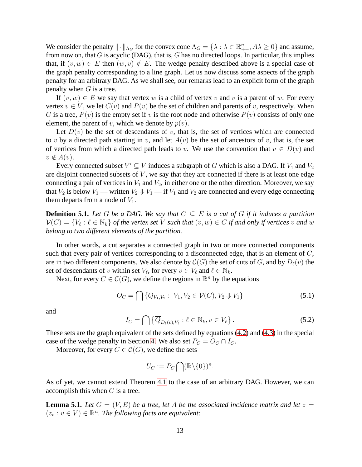We consider the penalty  $\|\cdot\|_{\Lambda_G}$  for the convex cone  $\Lambda_G = \{\lambda : \lambda \in \mathbb{R}^n_{++}, A\lambda \geq 0\}$  and assume, from now on, that  $G$  is acyclic (DAG), that is,  $G$  has no directed loops. In particular, this implies that, if  $(v, w) \in E$  then  $(w, v) \notin E$ . The wedge penalty described above is a special case of the graph penalty corresponding to a line graph. Let us now discuss some aspects of the graph penalty for an arbitrary DAG. As we shall see, our remarks lead to an explicit form of the graph penalty when  $G$  is a tree.

If  $(v, w) \in E$  we say that vertex w is a child of vertex v and v is a parent of w. For every vertex  $v \in V$ , we let  $C(v)$  and  $P(v)$  be the set of children and parents of v, respectively. When G is a tree,  $P(v)$  is the empty set if v is the root node and otherwise  $P(v)$  consists of only one element, the parent of v, which we denote by  $p(v)$ .

Let  $D(v)$  be the set of descendants of v, that is, the set of vertices which are connected to v by a directed path starting in v, and let  $A(v)$  be the set of ancestors of v, that is, the set of vertices from which a directed path leads to v. We use the convention that  $v \in D(v)$  and  $v \notin A(v)$ .

Every connected subset  $V' \subseteq V$  induces a subgraph of G which is also a DAG. If  $V_1$  and  $V_2$ are disjoint connected subsets of  $V$ , we say that they are connected if there is at least one edge connecting a pair of vertices in  $V_1$  and  $V_2$ , in either one or the other direction. Moreover, we say that  $V_2$  is below  $V_1$  — written  $V_2 \Downarrow V_1$  — if  $V_1$  and  $V_2$  are connected and every edge connecting them departs from a node of  $V_1$ .

**Definition 5.1.** Let G be a DAG. We say that  $C \subseteq E$  is a cut of G if it induces a partition  $\mathcal{V}(C) = \{V_\ell : \ell \in \mathbb{N}_k\}$  of the vertex set V such that  $(v, w) \in C$  if and only if vertices v and w *belong to two different elements of the partition.*

In other words, a cut separates a connected graph in two or more connected components such that every pair of vertices corresponding to a disconnected edge, that is an element of  $C$ , are in two different components. We also denote by  $\mathcal{C}(G)$  the set of cuts of G, and by  $D_{\ell}(v)$  the set of descendants of v within set  $V_{\ell}$ , for every  $v \in V_{\ell}$  and  $\ell \in \mathbb{N}_k$ .

Next, for every  $C \in \mathcal{C}(G)$ , we define the regions in  $\mathbb{R}^n$  by the equations

$$
O_C = \bigcap \{ Q_{V_1, V_2} : V_1, V_2 \in \mathcal{V}(C), V_2 \Downarrow V_1 \}
$$
\n(5.1)

and

$$
I_C = \bigcap \left\{ \overline{Q}_{D_{\ell}(v), V_{\ell}} : \ell \in \mathbb{N}_k, v \in V_{\ell} \right\}.
$$
\n(5.2)

These sets are the graph equivalent of the sets defined by equations [\(4.2\)](#page-8-3) and [\(4.3\)](#page-9-1) in the special case of the wedge penalty in Section [4.](#page-8-0) We also set  $P_C = O_C \cap I_C$ .

Moreover, for every  $C \in \mathcal{C}(G)$ , we define the sets

$$
U_C := P_C \bigcap (\mathbb{R} \backslash \{0\})^n.
$$

As of yet, we cannot extend Theorem [4.1](#page-10-3) to the case of an arbitrary DAG. However, we can accomplish this when  $G$  is a tree.

<span id="page-13-0"></span>**Lemma 5.1.** Let  $G = (V, E)$  be a tree, let A be the associated incidence matrix and let  $z =$  $(z_v : v \in V) \in \mathbb{R}^n$ . The following facts are equivalent: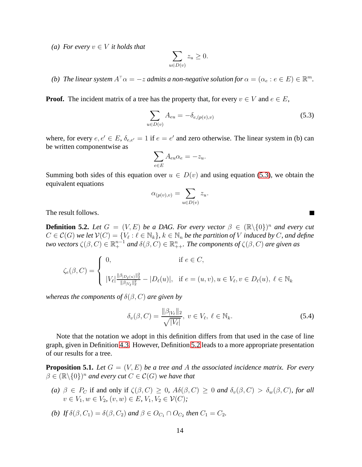*(a)* For every  $v \in V$  *it holds that* 

$$
\sum_{u \in D(v)} z_u \ge 0.
$$

*(b)* The linear system  $A^{\top} \alpha = -z$  admits a non-negative solution for  $\alpha = (\alpha_e : e \in E) \in \mathbb{R}^m$ .

**Proof.** The incident matrix of a tree has the property that, for every  $v \in V$  and  $e \in E$ ,

<span id="page-14-0"></span>
$$
\sum_{u \in D(v)} A_{eu} = -\delta_{e,(p(v),v)}
$$
\n(5.3)

П

where, for every  $e, e' \in E$ ,  $\delta_{e,e'} = 1$  if  $e = e'$  and zero otherwise. The linear system in (b) can be written componentwise as

$$
\sum_{e \in E} A_{eu} \alpha_e = -z_u.
$$

Summing both sides of this equation over  $u \in D(v)$  and using equation [\(5.3\)](#page-14-0), we obtain the equivalent equations

$$
\alpha_{(p(v),v)} = \sum_{u \in D(v)} z_u.
$$

The result follows.

<span id="page-14-1"></span>**Definition 5.2.** Let  $G = (V, E)$  be a DAG. For every vector  $\beta \in (\mathbb{R} \setminus \{0\})^n$  and every cut  $C \in \mathcal{C}(G)$  we let  $\mathcal{V}(C) = \{V_\ell : \ell \in \mathbb{N}_k\}, k \in \mathbb{N}_n$  be the partition of V induced by C, and define *two vectors*  $\zeta(\beta, C) \in \mathbb{R}^{n-1}_+$  and  $\delta(\beta, C) \in \mathbb{R}^n_{++}$ . The components of  $\zeta(\beta, C)$  are given as

$$
\zeta_e(\beta, C) = \begin{cases} 0, & \text{if } e \in C, \\ |V_{\ell}| \frac{\|\beta_{|D_{\ell}(u)\|_2^2}}{\|\beta_{|V_{\ell}}\|_2^2} - |D_{\ell}(u)|, & \text{if } e = (u, v), u \in V_{\ell}, v \in D_{\ell}(u), \ \ell \in \mathbb{N}_k \end{cases}
$$

*whereas the components of*  $\delta(\beta, C)$  *are given by* 

$$
\delta_v(\beta, C) = \frac{\|\beta_{|V_{\ell}}\|_2}{\sqrt{|V_{\ell}|}}, \ v \in V_{\ell}, \ \ell \in \mathbb{N}_k. \tag{5.4}
$$

Note that the notation we adopt in this definition differs from that used in the case of line graph, given in Definition [4.3.](#page-9-2) However, Definition [5.2](#page-14-1) leads to a more appropriate presentation of our results for a tree.

<span id="page-14-2"></span>**Proposition 5.1.** Let  $G = (V, E)$  be a tree and A the associated incidence matrix. For every  $\beta \in (\mathbb{R} \backslash \{0\})^n$  and every cut  $C \in \mathcal{C}(G)$  we have that

- *(a)*  $\beta \in P_C$  if and only if  $\zeta(\beta, C) \geq 0$ ,  $A\delta(\beta, C) \geq 0$  *and*  $\delta_v(\beta, C) > \delta_w(\beta, C)$ *, for all*  $v \in V_1, w \in V_2, (v, w) \in E, V_1, V_2 \in \mathcal{V}(C);$
- *(b) If*  $\delta(\beta, C_1) = \delta(\beta, C_2)$  *and*  $\beta \in O_{C_1} \cap O_{C_2}$  *then*  $C_1 = C_2$ *.*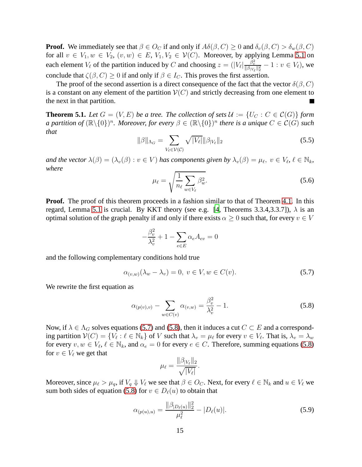**Proof.** We immediately see that  $\beta \in O_C$  if and only if  $A\delta(\beta, C) \geq 0$  and  $\delta_v(\beta, C) > \delta_w(\beta, C)$ for all  $v \in V_1, w \in V_2, (v, w) \in E, V_1, V_2 \in V(C)$ . Moreover, by applying Lemma [5.1](#page-13-0) on each element  $V_{\ell}$  of the partition induced by C and choosing  $z = (|V_{\ell}| \frac{\beta_v^2}{\|\beta_{|V_{\ell}}\|_2^2} - 1 : v \in V_{\ell})$ , we conclude that  $\zeta(\beta, C) \ge 0$  if and only if  $\beta \in I_C$ . This proves the first assertion.

The proof of the second assertion is a direct consequence of the fact that the vector  $\delta(\beta, C)$ is a constant on any element of the partition  $V(C)$  and strictly decreasing from one element to the next in that partition.

<span id="page-15-2"></span>**Theorem 5.1.** Let  $G = (V, E)$  be a tree. The collection of sets  $\mathcal{U} := \{U_C : C \in \mathcal{C}(G)\}\)$  form *a partition of*  $(\mathbb{R}\setminus\{0\})^n$ . Moreover, for every  $\beta \in (\mathbb{R}\setminus\{0\})^n$  there is a unique  $C \in \mathcal{C}(G)$  such *that*

$$
\|\beta\|_{\Lambda_G} = \sum_{V_\ell \in \mathcal{V}(\mathcal{C})} \sqrt{|V_\ell|} \|\beta_{|V_\ell}\|_2 \tag{5.5}
$$

*and the vector*  $\lambda(\beta) = (\lambda_v(\beta) : v \in V)$  *has components given by*  $\lambda_v(\beta) = \mu_{\ell}, v \in V_{\ell}, \ell \in \mathbb{N}_k$ , *where*

$$
\mu_{\ell} = \sqrt{\frac{1}{n_{\ell}}} \sum_{w \in V_{\ell}} \beta_w^2.
$$
\n(5.6)

**Proof.** The proof of this theorem proceeds in a fashion similar to that of Theorem [4.1.](#page-10-3) In this regard, Lemma [5.1](#page-13-0) is crucial. By KKT theory (see e.g. [\[4,](#page-31-6) Theorems 3.3.4,3.3.7]),  $\lambda$  is an optimal solution of the graph penalty if and only if there exists  $\alpha \geq 0$  such that, for every  $v \in V$ 

$$
-\frac{\beta_v^2}{\lambda_v^2} + 1 - \sum_{e \in E} \alpha_e A_{ev} = 0
$$

and the following complementary conditions hold true

<span id="page-15-0"></span>
$$
\alpha_{(v,w)}(\lambda_w - \lambda_v) = 0, \ v \in V, w \in C(v). \tag{5.7}
$$

We rewrite the first equation as

<span id="page-15-1"></span>
$$
\alpha_{(p(v),v)} - \sum_{w \in C(v)} \alpha_{(v,w)} = \frac{\beta_v^2}{\lambda_v^2} - 1.
$$
\n(5.8)

Now, if  $\lambda \in \Lambda_G$  solves equations [\(5.7\)](#page-15-0) and [\(5.8\)](#page-15-1), then it induces a cut  $C \subset E$  and a corresponding partition  $V(C) = \{V_\ell : \ell \in \mathbb{N}_k\}$  of V such that  $\lambda_v = \mu_\ell$  for every  $v \in V_\ell$ . That is,  $\lambda_v = \lambda_w$ for every  $v, w \in V_{\ell}, \ell \in \mathbb{N}_k$ , and  $\alpha_e = 0$  for every  $e \in C$ . Therefore, summing equations [\(5.8\)](#page-15-1) for  $v \in V_\ell$  we get that

$$
\mu_{\ell} = \frac{\|\beta_{|V_{\ell}}\|_2}{\sqrt{|V_{\ell}|}}.
$$

Moreover, since  $\mu_\ell > \mu_q$ , if  $V_q \Downarrow V_\ell$  we see that  $\beta \in O_C$ . Next, for every  $\ell \in \mathbb{N}_k$  and  $u \in V_\ell$  we sum both sides of equation [\(5.8\)](#page-15-1) for  $v \in D_{\ell}(u)$  to obtain that

$$
\alpha_{(p(u),u)} = \frac{\|\beta_{|D_{\ell}(u)}\|_{2}^{2}}{\mu_{\ell}^{2}} - |D_{\ell}(u)|.
$$
\n(5.9)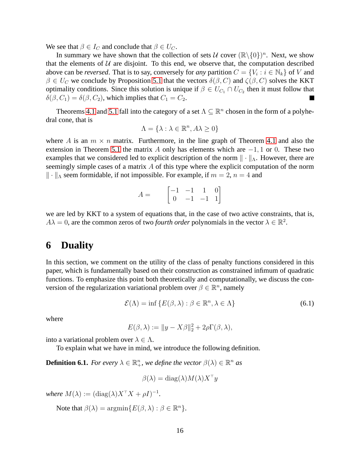We see that  $\beta \in I_C$  and conclude that  $\beta \in U_C$ .

In summary we have shown that the collection of sets  $U$  cover  $(\mathbb{R}\setminus\{0\})^n$ . Next, we show that the elements of  $U$  are disjoint. To this end, we observe that, the computation described above can be *reversed*. That is to say, conversely for *any* partition  $C = \{V_i : i \in \mathbb{N}_k\}$  of V and  $\beta \in U_C$  we conclude by Proposition [5.1](#page-14-2) that the vectors  $\delta(\beta, C)$  and  $\zeta(\beta, C)$  solves the KKT optimality conditions. Since this solution is unique if  $\beta \in U_{C_1} \cap U_{C_2}$  then it must follow that  $\delta(\beta, C_1) = \delta(\beta, C_2)$ , which implies that  $C_1 = C_2$ .

Theorems [4.1](#page-10-3) and [5.1](#page-15-2) fall into the category of a set  $\Lambda \subseteq \mathbb{R}^n$  chosen in the form of a polyhedral cone, that is

$$
\Lambda = \{\lambda : \lambda \in \mathbb{R}^n, A\lambda \ge 0\}
$$

where A is an  $m \times n$  matrix. Furthermore, in the line graph of Theorem [4.1](#page-10-3) and also the extension in Theorem [5.1](#page-15-2) the matrix A only has elements which are  $-1, 1$  or 0. These two examples that we considered led to explicit description of the norm  $\|\cdot\|_{\Lambda}$ . However, there are seemingly simple cases of a matrix  $A$  of this type where the explicit computation of the norm  $\|\cdot\|_{\Lambda}$  seem formidable, if not impossible. For example, if  $m = 2$ ,  $n = 4$  and

$$
A = \begin{bmatrix} -1 & -1 & 1 & 0 \\ 0 & -1 & -1 & 1 \end{bmatrix}
$$

we are led by KKT to a system of equations that, in the case of two active constraints, that is,  $A\lambda = 0$ , are the common zeros of two *fourth order* polynomials in the vector  $\lambda \in \mathbb{R}^2$ .

## <span id="page-16-0"></span>**6 Duality**

In this section, we comment on the utility of the class of penalty functions considered in this paper, which is fundamentally based on their construction as constrained infimum of quadratic functions. To emphasize this point both theoretically and computationally, we discuss the conversion of the regularization variational problem over  $\beta \in \mathbb{R}^n$ , namely

<span id="page-16-1"></span>
$$
\mathcal{E}(\Lambda) = \inf \{ E(\beta, \lambda) : \beta \in \mathbb{R}^n, \lambda \in \Lambda \}
$$
 (6.1)

where

$$
E(\beta, \lambda) := \|y - X\beta\|_2^2 + 2\rho \Gamma(\beta, \lambda),
$$

into a variational problem over  $\lambda \in \Lambda$ .

To explain what we have in mind, we introduce the following definition.

**Definition 6.1.** *For every*  $\lambda \in \mathbb{R}^n_+$ *, we define the vector*  $\beta(\lambda) \in \mathbb{R}^n$  *as* 

$$
\beta(\lambda) = \mathrm{diag}(\lambda) M(\lambda) X^\top y
$$

*where*  $M(\lambda) := (\text{diag}(\lambda)X^{\top}X + \rho I)^{-1}$ *.* 

Note that  $\beta(\lambda) = \operatorname{argmin} \{ E(\beta, \lambda) : \beta \in \mathbb{R}^n \}.$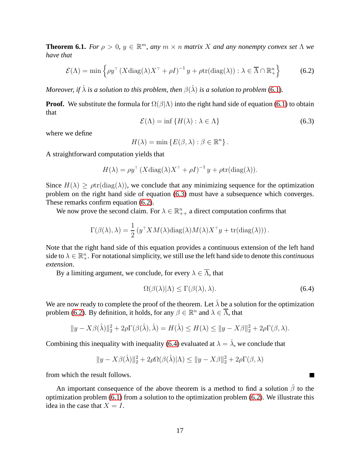**Theorem 6.1.** *For*  $\rho > 0$ ,  $y \in \mathbb{R}^m$ , *any*  $m \times n$  *matrix* X *and any nonempty convex set*  $\Lambda$  *we have that*

<span id="page-17-1"></span>
$$
\mathcal{E}(\Lambda) = \min \left\{ \rho y^\top \left( X \text{diag}(\lambda) X^\top + \rho I \right)^{-1} y + \rho \text{tr}(\text{diag}(\lambda)) : \lambda \in \overline{\Lambda} \cap \mathbb{R}^n_+ \right\} \tag{6.2}
$$

*Moreover, if*  $\hat{\lambda}$  *is a solution to this problem, then*  $\beta(\hat{\lambda})$  *is a solution to problem* [\(6.1\)](#page-16-1).

**Proof.** We substitute the formula for  $\Omega(\beta|\Lambda)$  into the right hand side of equation [\(6.1\)](#page-16-1) to obtain that

<span id="page-17-0"></span>
$$
\mathcal{E}(\Lambda) = \inf \{ H(\lambda) : \lambda \in \Lambda \}
$$
 (6.3)

where we define

$$
H(\lambda) = \min \{ E(\beta, \lambda) : \beta \in \mathbb{R}^n \}.
$$

A straightforward computation yields that

$$
H(\lambda) = \rho y^{\top} (X \operatorname{diag}(\lambda) X^{\top} + \rho I)^{-1} y + \rho \operatorname{tr}(\operatorname{diag}(\lambda)).
$$

Since  $H(\lambda) > \rho tr(\text{diag}(\lambda))$ , we conclude that any minimizing sequence for the optimization problem on the right hand side of equation [\(6.3\)](#page-17-0) must have a subsequence which converges. These remarks confirm equation [\(6.2\)](#page-17-1).

We now prove the second claim. For  $\lambda \in \mathbb{R}_{++}^n$  a direct computation confirms that

$$
\Gamma(\beta(\lambda), \lambda) = \frac{1}{2} \left( y^\top X M(\lambda) \text{diag}(\lambda) M(\lambda) X^\top y + \text{tr}(\text{diag}(\lambda)) \right).
$$

Note that the right hand side of this equation provides a continuous extension of the left hand side to  $\lambda \in \mathbb{R}^n_+$ . For notational simplicity, we still use the left hand side to denote this *continuous extension*.

By a limiting argument, we conclude, for every  $\lambda \in \overline{\Lambda}$ , that

<span id="page-17-2"></span>
$$
\Omega(\beta(\lambda)|\Lambda) \le \Gamma(\beta(\lambda), \lambda). \tag{6.4}
$$

 $\blacksquare$ 

We are now ready to complete the proof of the theorem. Let  $\hat{\lambda}$  be a solution for the optimization problem [\(6.2\)](#page-17-1). By definition, it holds, for any  $\beta \in \mathbb{R}^n$  and  $\lambda \in \overline{\Lambda}$ , that

$$
||y - X\beta(\hat{\lambda})||_2^2 + 2\rho \Gamma(\beta(\hat{\lambda}), \hat{\lambda}) = H(\hat{\lambda}) \le H(\lambda) \le ||y - X\beta||_2^2 + 2\rho \Gamma(\beta, \lambda).
$$

Combining this inequality with inequality [\(6.4\)](#page-17-2) evaluated at  $\lambda = \hat{\lambda}$ , we conclude that

$$
||y - X\beta(\hat{\lambda})||_2^2 + 2\rho\Omega(\beta(\hat{\lambda})|\Lambda) \le ||y - X\beta||_2^2 + 2\rho\Gamma(\beta, \lambda)
$$

from which the result follows.

An important consequence of the above theorem is a method to find a solution  $\hat{\beta}$  to the optimization problem [\(6.1\)](#page-16-1) from a solution to the optimization problem [\(6.2\)](#page-17-1). We illustrate this idea in the case that  $X = I$ .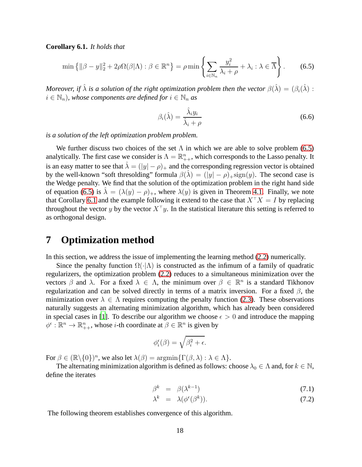**Corollary 6.1.** *It holds that*

<span id="page-18-1"></span>
$$
\min\left\{\|\beta - y\|_2^2 + 2\rho\Omega(\beta|\Lambda) : \beta \in \mathbb{R}^n\right\} = \rho \min\left\{\sum_{i \in \mathbb{N}_n} \frac{y_i^2}{\lambda_i + \rho} + \lambda_i : \lambda \in \overline{\Lambda}\right\}.
$$
 (6.5)

*Moreover, if*  $\hat{\lambda}$  *is a solution of the right optimization problem then the vector*  $\beta(\hat{\lambda}) = (\beta_i(\hat{\lambda}))$ :  $i \in \mathbb{N}_n$ , whose components are defined for  $i \in \mathbb{N}_n$  as

<span id="page-18-2"></span>
$$
\beta_i(\hat{\lambda}) = \frac{\hat{\lambda}_i y_i}{\hat{\lambda}_i + \rho} \tag{6.6}
$$

*is a solution of the left optimization problem problem.*

We further discuss two choices of the set  $\Lambda$  in which we are able to solve problem [\(6.5\)](#page-18-1) analytically. The first case we consider is  $\Lambda = \mathbb{R}_{++}^n$ , which corresponds to the Lasso penalty. It is an easy matter to see that  $\hat{\lambda} = (|y| - \rho)_+$  and the corresponding regression vector is obtained by the well-known "soft thresolding" formula  $\beta(\lambda) = (|y| - \rho)_{+}$ sign $(y)$ . The second case is the Wedge penalty. We find that the solution of the optimization problem in the right hand side of equation [\(6.5\)](#page-18-1) is  $\lambda = (\lambda(y) - \rho)_+$ , where  $\lambda(y)$  is given in Theorem [4.1.](#page-10-3) Finally, we note that Corollary [6.1](#page-18-2) and the example following it extend to the case that  $X^{\top}X = I$  by replacing throughout the vector y by the vector  $X^{\top}y$ . In the statistical literature this setting is referred to as orthogonal design.

### <span id="page-18-0"></span>**7 Optimization method**

In this section, we address the issue of implementing the learning method [\(2.2\)](#page-3-1) numerically.

Since the penalty function  $\Omega(\cdot|\Lambda)$  is constructed as the infimum of a family of quadratic regularizers, the optimization problem [\(2.2\)](#page-3-1) reduces to a simultaneous minimization over the vectors  $\beta$  and  $\lambda$ . For a fixed  $\lambda \in \Lambda$ , the minimum over  $\beta \in \mathbb{R}^n$  is a standard Tikhonov regularization and can be solved directly in terms of a matrix inversion. For a fixed  $\beta$ , the minimization over  $\lambda \in \Lambda$  requires computing the penalty function [\(2.3\)](#page-3-2). These observations naturally suggests an alternating minimization algorithm, which has already been considered in special cases in [\[1\]](#page-31-4). To describe our algorithm we choose  $\epsilon > 0$  and introduce the mapping  $\phi^{\epsilon} : \mathbb{R}^n \to \mathbb{R}_{++}^n$ , whose *i*-th coordinate at  $\beta \in \mathbb{R}^n$  is given by

$$
\phi_i^{\epsilon}(\beta) = \sqrt{\beta_i^2 + \epsilon}.
$$

For  $\beta \in (\mathbb{R} \setminus \{0\})^n$ , we also let  $\lambda(\beta) = \operatorname{argmin} {\{\Gamma(\beta, \lambda) : \lambda \in \Lambda\}}$ .

The alternating minimization algorithm is defined as follows: choose  $\lambda_0 \in \Lambda$  and, for  $k \in \mathbb{N}$ , define the iterates

<span id="page-18-3"></span>
$$
\beta^k = \beta(\lambda^{k-1}) \tag{7.1}
$$

$$
\lambda^k = \lambda(\phi^{\epsilon}(\beta^k)). \tag{7.2}
$$

The following theorem establishes convergence of this algorithm.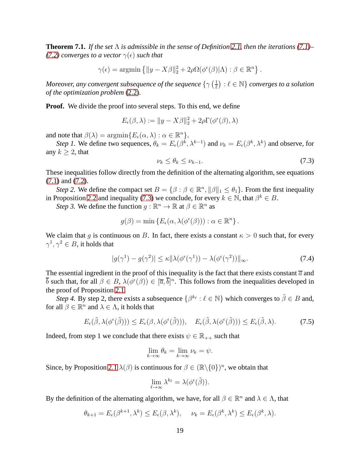<span id="page-19-0"></span>**Theorem 7.1.** *If the set* Λ *is admissible in the sense of Definition [2.1,](#page-4-2) then the iterations [\(7.1\)](#page-18-3)– [\(7.2\)](#page-18-3)* converges to a vector  $\gamma(\epsilon)$  such that

$$
\gamma(\epsilon) = \operatorname{argmin} \left\{ ||y - X\beta||_2^2 + 2\rho \Omega(\phi^{\epsilon}(\beta)|\Lambda) : \beta \in \mathbb{R}^n \right\}.
$$

Moreover, any convergent subsequence of the sequence  $\{\gamma\ (\frac{1}{\ell}$  $\left(\frac{1}{\ell}\right) : \ell \in \mathbb{N} \}$  converges to a solution *of the optimization problem* [\(2.2\)](#page-3-1)*.*

**Proof.** We divide the proof into several steps. To this end, we define

$$
E_{\epsilon}(\beta,\lambda) := \|y - X\beta\|_2^2 + 2\rho \Gamma(\phi^{\epsilon}(\beta),\lambda)
$$

and note that  $\beta(\lambda) = \operatorname{argmin} \{ E_{\epsilon}(\alpha, \lambda) : \alpha \in \mathbb{R}^n \}.$ 

*Step 1*. We define two sequences,  $\theta_k = E_{\epsilon}(\beta^k, \lambda^{k-1})$  and  $\nu_k = E_{\epsilon}(\beta^k, \lambda^k)$  and observe, for any  $k \geq 2$ , that

<span id="page-19-1"></span>
$$
\nu_k \le \theta_k \le \nu_{k-1}.\tag{7.3}
$$

These inequalities follow directly from the definition of the alternating algorithm, see equations [\(7.1\)](#page-18-3) and [\(7.2\)](#page-18-3).

*Step 2.* We define the compact set  $B = \{ \beta : \beta \in \mathbb{R}^n, ||\beta||_1 \leq \theta_1 \}$ . From the first inequality in Proposition [2.2](#page-4-3) and inequality [\(7.3\)](#page-19-1) we conclude, for every  $k \in \mathbb{N}$ , that  $\beta^k \in B$ .

*Step 3.* We define the function  $g : \mathbb{R}^n \to \mathbb{R}$  at  $\beta \in \mathbb{R}^n$  as

$$
g(\beta) = \min \{ E_{\epsilon}(\alpha, \lambda(\phi^{\epsilon}(\beta))) : \alpha \in \mathbb{R}^{n} \}.
$$

We claim that g is continuous on B. In fact, there exists a constant  $\kappa > 0$  such that, for every  $\gamma^1, \gamma^2 \in B$ , it holds that

$$
|g(\gamma^1) - g(\gamma^2)| \le \kappa \|\lambda(\phi^{\epsilon}(\gamma^1)) - \lambda(\phi^{\epsilon}(\gamma^2))\|_{\infty}.
$$
 (7.4)

The essential ingredient in the proof of this inequality is the fact that there exists constant  $\overline{a}$  and  $\overline{b}$  such that, for all  $\beta \in B$ ,  $\lambda(\phi^{\epsilon}(\beta)) \in [\overline{a}, \overline{b}]^n$ . This follows from the inequalities developed in the proof of Proposition [2.1.](#page-4-0)

*Step 4.* By step 2, there exists a subsequence  $\{\beta^{k_\ell} : \ell \in \mathbb{N}\}\$  which converges to  $\tilde{\beta} \in B$  and, for all  $\beta \in \mathbb{R}^n$  and  $\lambda \in \Lambda$ , it holds that

<span id="page-19-2"></span>
$$
E_{\epsilon}(\tilde{\beta}, \lambda(\phi^{\epsilon}(\tilde{\beta}))) \le E_{\epsilon}(\beta, \lambda(\phi^{\epsilon}(\tilde{\beta}))), \quad E_{\epsilon}(\tilde{\beta}, \lambda(\phi^{\epsilon}(\tilde{\beta}))) \le E_{\epsilon}(\tilde{\beta}, \lambda). \tag{7.5}
$$

Indeed, from step 1 we conclude that there exists  $\psi \in \mathbb{R}_{++}$  such that

$$
\lim_{k \to \infty} \theta_k = \lim_{k \to \infty} \nu_k = \psi.
$$

Since, by Proposition [2.1](#page-4-0)  $\lambda(\beta)$  is continuous for  $\beta \in (\mathbb{R} \setminus \{0\})^n$ , we obtain that

$$
\lim_{\ell \to \infty} \lambda^{k_{\ell}} = \lambda(\phi^{\epsilon}(\tilde{\beta})).
$$

By the definition of the alternating algorithm, we have, for all  $\beta \in \mathbb{R}^n$  and  $\lambda \in \Lambda$ , that

$$
\theta_{k+1} = E_{\epsilon}(\beta^{k+1}, \lambda^k) \le E_{\epsilon}(\beta, \lambda^k), \quad \nu_k = E_{\epsilon}(\beta^k, \lambda^k) \le E_{\epsilon}(\beta^k, \lambda).
$$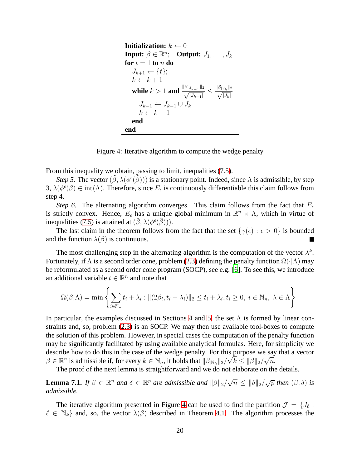**Initialization:**  $k \leftarrow 0$ **Input:**  $\beta \in \mathbb{R}^n$ ; **Output:**  $J_1, \ldots, J_k$ **for**  $t = 1$  **to**  $n$  **do**  $J_{k+1} \leftarrow \{t\};$  $k \leftarrow k + 1$ **while**  $k > 1$  and  $\frac{\|\beta_{|J_{k-1}}\|_2}{\sqrt{|J_{k-1}|}} \le$  $\frac{\|\beta_{|J_k}\|_2}{\sqrt{|J_k|}}$  $J_{k-1} \leftarrow J_{k-1} \cup J_k$  $k \leftarrow k - 1$ **end end**

<span id="page-20-0"></span>Figure 4: Iterative algorithm to compute the wedge penalty

From this inequality we obtain, passing to limit, inequalities [\(7.5\)](#page-19-2).

*Step 5.* The vector  $(\tilde{\beta}, \lambda(\phi^{\epsilon}(\tilde{\beta})))$  is a stationary point. Indeed, since  $\Lambda$  is admissible, by step 3,  $\lambda(\phi^{\epsilon}(\tilde{\beta}) \in \text{int}(\Lambda)$ . Therefore, since  $E_{\epsilon}$  is continuously differentiable this claim follows from step 4.

*Step 6.* The alternating algorithm converges. This claim follows from the fact that  $E_{\epsilon}$ is strictly convex. Hence,  $E_{\epsilon}$  has a unique global minimum in  $\mathbb{R}^n \times \Lambda$ , which in virtue of inequalities [\(7.5\)](#page-19-2) is attained at  $(\tilde{\beta}, \lambda(\phi^{\epsilon}(\tilde{\beta})))$ .

The last claim in the theorem follows from the fact that the set  $\{\gamma(\epsilon): \epsilon > 0\}$  is bounded and the function  $\lambda(\beta)$  is continuous.

The most challenging step in the alternating algorithm is the computation of the vector  $\lambda^k$ . Fortunately, if  $\Lambda$  is a second order cone, problem [\(2.3\)](#page-3-2) defining the penalty function  $\Omega(\cdot|\Lambda)$  may be reformulated as a second order cone program (SOCP), see e.g. [\[6](#page-31-7)]. To see this, we introduce an additional variable  $t \in \mathbb{R}^n$  and note that

$$
\Omega(\beta|\Lambda) = \min \left\{ \sum_{i \in \mathbb{N}_n} t_i + \lambda_i : ||(2\beta_i, t_i - \lambda_i)||_2 \le t_i + \lambda_i, t_i \ge 0, i \in \mathbb{N}_n, \lambda \in \Lambda \right\}.
$$

In particular, the examples discussed in Sections [4](#page-8-0) and [5,](#page-12-0) the set  $\Lambda$  is formed by linear constraints and, so, problem [\(2.3\)](#page-3-2) is an SOCP. We may then use available tool-boxes to compute the solution of this problem. However, in special cases the computation of the penalty function may be significantly facilitated by using available analytical formulas. Here, for simplicity we describe how to do this in the case of the wedge penalty. For this purpose we say that a vector  $\beta \in \mathbb{R}^n$  is admissible if, for every  $k \in \mathbb{N}_n$ , it holds that  $\|\beta_{\vert \mathbb{N}_k}\|_2/\sqrt{k} \leq \|\beta\|_2/\sqrt{n}$ .

The proof of the next lemma is straightforward and we do not elaborate on the details.

<span id="page-20-1"></span>**Lemma 7.1.** *If*  $\beta \in \mathbb{R}^n$  *and*  $\delta \in \mathbb{R}^p$  *are admissible and*  $\|\beta\|_2/\sqrt{n} \le \|\delta\|_2/\sqrt{p}$  *then*  $(\beta, \delta)$  *is admissible.*

The iterative algorithm presented in Figure [4](#page-20-0) can be used to find the partition  $\mathcal{J} = \{J_\ell :$  $\ell \in \mathbb{N}_k$  and, so, the vector  $\lambda(\beta)$  described in Theorem [4.1.](#page-10-3) The algorithm processes the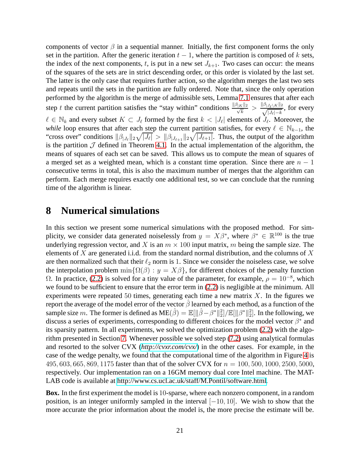components of vector  $\beta$  in a sequential manner. Initially, the first component forms the only set in the partition. After the generic iteration  $t - 1$ , where the partition is composed of k sets, the index of the next components, t, is put in a new set  $J_{k+1}$ . Two cases can occur: the means of the squares of the sets are in strict descending order, or this order is violated by the last set. The latter is the only case that requires further action, so the algorithm merges the last two sets and repeats until the sets in the partition are fully ordered. Note that, since the only operation performed by the algorithm is the merge of admissible sets, Lemma [7.1](#page-20-1) ensures that after each step t the current partition satisfies the "stay within" conditions  $\frac{\|\beta_{|K}\|_2}{\sqrt{k}} > \frac{\|\beta_{|J_{\ell}\setminus K}\|_2}{\sqrt{|J_{\ell}|-k}}$ , for every  $\ell \in \mathbb{N}_k$  and every subset  $K \subset J_\ell$  formed by the first  $k < |J_\ell|$  elements of  $J_\ell$ . Moreover, the *while* loop ensures that after each step the current partition satisfies, for every  $\ell \in \mathbb{N}_{k-1}$ , the "cross over" conditions  $\|\beta_{|J_{\ell}}\|_2\sqrt{|J_{\ell}|} > \|\beta_{|J_{\ell+1}}\|_2\sqrt{|J_{\ell+1}|}$ . Thus, the output of the algorithm is the partition  $J$  defined in Theorem [4.1.](#page-10-3) In the actual implementation of the algorithm, the means of squares of each set can be saved. This allows us to compute the mean of squares of a merged set as a weighted mean, which is a constant time operation. Since there are  $n - 1$ consecutive terms in total, this is also the maximum number of merges that the algorithm can perform. Each merge requires exactly one additional test, so we can conclude that the running time of the algorithm is linear.

### <span id="page-21-0"></span>**8 Numerical simulations**

In this section we present some numerical simulations with the proposed method. For simplicity, we consider data generated noiselessly from  $y = X\beta^*$ , where  $\beta^* \in \mathbb{R}^{100}$  is the true underlying regression vector, and X is an  $m \times 100$  input matrix, m being the sample size. The elements of X are generated i.i.d. from the standard normal distribution, and the columns of X are then normalized such that their  $\ell_2$  norm is 1. Since we consider the noiseless case, we solve the interpolation problem  $\min{\{\Omega(\beta) : y = X\beta\}}$ , for different choices of the penalty function Ω. In practice, [\(2.2\)](#page-3-1) is solved for a tiny value of the parameter, for example,  $\rho = 10^{-8}$ , which we found to be sufficient to ensure that the error term in [\(2.2\)](#page-3-1) is negligible at the minimum. All experiments were repeated 50 times, generating each time a new matrix  $X$ . In the figures we report the average of the model error of the vector  $\hat{\beta}$  learned by each method, as a function of the sample size m. The former is defined as  $ME(\hat{\beta}) = \mathbb{E}[\|\hat{\beta} - \beta^*\|_2^2] / \mathbb{E}[\|\beta^*\|_2^2]$ . In the following, we discuss a series of experiments, corresponding to different choices for the model vector  $\beta^*$  and its sparsity pattern. In all experiments, we solved the optimization problem [\(2.2\)](#page-3-1) with the algorithm presented in Section [7.](#page-18-0) Whenever possible we solved step [\(7.2\)](#page-18-3) using analytical formulas and resorted to the solver CVX (*<http://cvxr.com/cvx/>*) in the other cases. For example, in the case of the wedge penalty, we found that the computational time of the algorithm in Figure [4](#page-20-0) is 495, 603, 665, 869, 1175 faster than that of the solver CVX for  $n = 100, 500, 1000, 2500, 5000$ , respectively. Our implementation ran on a 16GM memory dual core Intel machine. The MAT-LAB code is available at [http://www.cs.ucl.ac.uk/staff/M.Pontil/software.html.](http://www.cs.ucl.ac.uk/staff/M.Pontil/software.html)

**Box.** In the first experiment the model is 10-sparse, where each nonzero component, in a random position, is an integer uniformly sampled in the interval  $[-10, 10]$ . We wish to show that the more accurate the prior information about the model is, the more precise the estimate will be.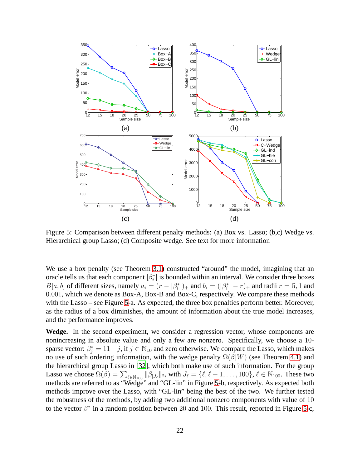

<span id="page-22-0"></span>Figure 5: Comparison between different penalty methods: (a) Box vs. Lasso; (b,c) Wedge vs. Hierarchical group Lasso; (d) Composite wedge. See text for more information

We use a box penalty (see Theorem [3.1\)](#page-7-2) constructed "around" the model, imagining that an oracle tells us that each component  $|\beta_i^*|$  is bounded within an interval. We consider three boxes  $B[a, b]$  of different sizes, namely  $a_i = (r - |\beta_i^*|)_+$  and  $b_i = (|\beta_i^*| - r)_+$  and radii  $r = 5, 1$  and 0.001, which we denote as Box-A, Box-B and Box-C, respectively. We compare these methods with the Lasso – see Figure [5-](#page-22-0)a. As expected, the three box penalties perform better. Moreover, as the radius of a box diminishes, the amount of information about the true model increases, and the performance improves.

**Wedge.** In the second experiment, we consider a regression vector, whose components are nonincreasing in absolute value and only a few are nonzero. Specifically, we choose a 10 sparse vector:  $\beta_j^* = 11 - j$ , if  $j \in \mathbb{N}_{10}$  and zero otherwise. We compare the Lasso, which makes no use of such ordering information, with the wedge penalty  $\Omega(\beta|W)$  (see Theorem [4.1\)](#page-10-3) and the hierarchical group Lasso in [\[32\]](#page-33-6), which both make use of such information. For the group Lasso we choose  $\Omega(\beta) = \sum_{\ell \in \mathbb{N}_{100}} ||\beta_{|J_{\ell}}||_2$ , with  $J_{\ell} = {\ell, \ell + 1, ..., 100}$ ,  $\ell \in \mathbb{N}_{100}$ . These two methods are referred to as "Wedge" and "GL-lin" in Figure [5-](#page-22-0)b, respectively. As expected both methods improve over the Lasso, with "GL-lin" being the best of the two. We further tested the robustness of the methods, by adding two additional nonzero components with value of 10 to the vector  $\beta^*$  in a random position between 20 and 100. This result, reported in Figure [5-](#page-22-0)c,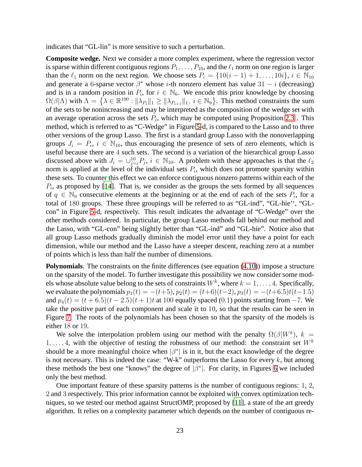indicates that "GL-lin" is more sensitive to such a perturbation.

**Composite wedge.** Next we consider a more complex experiment, where the regression vector is sparse within different contiguous regions  $P_1, \ldots, P_{10}$ , and the  $\ell_1$  norm on one region is larger than the  $\ell_1$  norm on the next region. We choose sets  $P_i = \{10(i-1) + 1, \ldots, 10i\}, i \in \mathbb{N}_{10}$ and generate a 6-sparse vector  $\beta^*$  whose *i*-th nonzero element has value 31 – *i* (decreasing) and is in a random position in  $P_i$ , for  $i \in \mathbb{N}_6$ . We encode this prior knowledge by choosing  $\Omega(\beta|\Lambda)$  with  $\Lambda = \{ \lambda \in \mathbb{R}^{100} : ||\lambda_{P_i}||_1 \ge ||\lambda_{P_{i+1}}||_1, i \in \mathbb{N}_9 \}$ . This method constraints the sum of the sets to be nonincreasing and may be interpreted as the composition of the wedge set with an average operation across the sets  $P_i$ , which may be computed using Proposition [2.3](#page-5-0). This method, which is referred to as "C-Wedge" in Figure [5-](#page-22-0)d, is compared to the Lasso and to three other versions of the group Lasso. The first is a standard group Lasso with the nonoverlapping groups  $J_i = P_i$ ,  $i \in \mathbb{N}_{10}$ , thus encouraging the presence of sets of zero elements, which is useful because there are 4 such sets. The second is a variation of the hierarchical group Lasso discussed above with  $J_i = \bigcup_{j=i}^{10} P_j$ ,  $i \in \mathbb{N}_{10}$ . A problem with these approaches is that the  $\ell_2$ norm is applied at the level of the individual sets  $P_i$ , which does not promote sparsity within these sets. To counter this effect we can enforce contiguous nonzero patterns within each of the  $P_i$ , as proposed by [\[14\]](#page-32-3). That is, we consider as the groups the sets formed by all sequences of  $q \in \mathbb{N}_9$  consecutive elements at the beginning or at the end of each of the sets  $P_i$ , for a total of 180 groups. These three groupings will be referred to as "GL-ind", "GL-hie'', "GLcon" in Figure [5-](#page-22-0)d, respectively. This result indicates the advantage of "C-Wedge" over the other methods considered. In particular, the group Lasso methods fall behind our method and the Lasso, with "GL-con" being slightly better than "GL-ind" and "GL-hie". Notice also that all group Lasso methods gradually diminish the model error until they have a point for each dimension, while our method and the Lasso have a steeper descent, reaching zero at a number of points which is less than half the number of dimensions.

**Polynomials**. The constraints on the finite differences (see equation [\(4.10\)](#page-12-2)) impose a structure on the sparsity of the model. To further investigate this possibility we now consider some models whose absolute value belong to the sets of constraints  $W^k$ , where  $k = 1, \ldots, 4$ . Specifically, we evaluate the polynomials  $p_1(t) = -(t+5)$ ,  $p_2(t) = (t+6)(t-2)$ ,  $p_3(t) = -(t+6.5)t(t-1.5)$ and  $p_4(t) = (t + 6.5)(t - 2.5)(t + 1)t$  at 100 equally spaced (0.1) points starting from -7. We take the positive part of each component and scale it to 10, so that the results can be seen in Figure [7.](#page-25-0) The roots of the polynomials has been chosen so that the sparsity of the models is either 18 or 19.

We solve the interpolation problem using our method with the penalty  $\Omega(\beta|W^k)$ ,  $k =$  $1, \ldots, 4$ , with the objective of testing the robustness of our method: the constraint set  $W^k$ should be a more meaningful choice when  $\left|\beta^*\right|$  is in it, but the exact knowledge of the degree is not necessary. This is indeed the case: "W-k" outperforms the Lasso for every  $k$ , but among these methods the best one "knows" the degree of  $|\beta^*|$ . For clarity, in Figures [6](#page-24-0) we included only the best method.

One important feature of these sparsity patterns is the number of contiguous regions: 1, 2, 2 and 3 respectively. This prior information cannot be exploited with convex optimization techniques, so we tested our method against StructOMP, proposed by [\[11\]](#page-31-5), a state of the art greedy algorithm. It relies on a complexity parameter which depends on the number of contiguous re-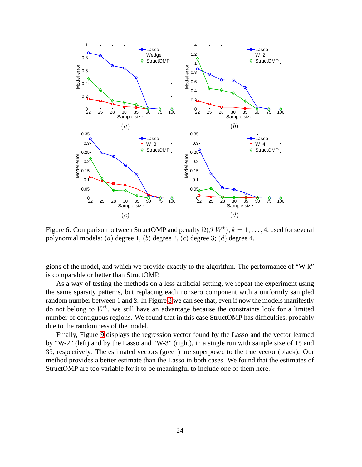

<span id="page-24-0"></span>Figure 6: Comparison between StructOMP and penalty  $\Omega(\beta|W^k)$ ,  $k = 1, \ldots, 4$ , used for several polynomial models: (a) degree 1, (b) degree 2, (c) degree 3; (d) degree 4.

gions of the model, and which we provide exactly to the algorithm. The performance of "W-k" is comparable or better than StructOMP.

As a way of testing the methods on a less artificial setting, we repeat the experiment using the same sparsity patterns, but replacing each nonzero component with a uniformly sampled random number between 1 and 2. In Figure [8](#page-26-0) we can see that, even if now the models manifestly do not belong to  $W^k$ , we still have an advantage because the constraints look for a limited number of contiguous regions. We found that in this case StructOMP has difficulties, probably due to the randomness of the model.

Finally, Figure [9](#page-27-0) displays the regression vector found by the Lasso and the vector learned by "W-2" (left) and by the Lasso and "W-3" (right), in a single run with sample size of 15 and 35, respectively. The estimated vectors (green) are superposed to the true vector (black). Our method provides a better estimate than the Lasso in both cases. We found that the estimates of StructOMP are too variable for it to be meaningful to include one of them here.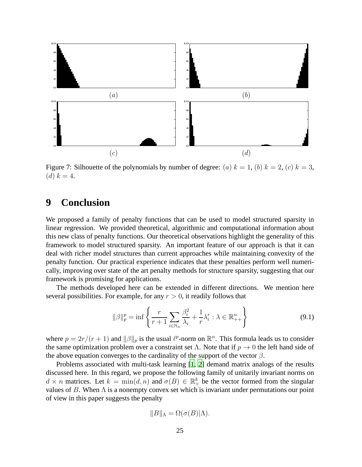

<span id="page-25-0"></span>Figure 7: Silhouette of the polynomials by number of degree: (a)  $k = 1$ , (b)  $k = 2$ , (c)  $k = 3$ ,  $(d) k = 4.$ 

## **9 Conclusion**

We proposed a family of penalty functions that can be used to model structured sparsity in linear regression. We provided theoretical, algorithmic and computational information about this new class of penalty functions. Our theoretical observations highlight the generality of this framework to model structured sparsity. An important feature of our approach is that it can deal with richer model structures than current approaches while maintaining convexity of the penalty function. Our practical experience indicates that these penalties perform well numerically, improving over state of the art penalty methods for structure sparsity, suggesting that our framework is promising for applications.

The methods developed here can be extended in different directions. We mention here several possibilities. For example, for any  $r > 0$ , it readily follows that

$$
\|\beta\|_p^p = \inf \left\{ \frac{r}{r+1} \sum_{i \in \mathbb{N}_n} \frac{\beta_i^2}{\lambda_i} + \frac{1}{r} \lambda_i^r : \lambda \in \mathbb{R}_{++}^n \right\}
$$
(9.1)

where  $p = 2r/(r+1)$  and  $\|\beta\|_p$  is the usual  $\ell^p$ -norm on  $\mathbb{R}^n$ . This formula leads us to consider the same optimization problem over a constraint set  $\Lambda$ . Note that if  $p \to 0$  the left hand side of the above equation converges to the cardinality of the support of the vector  $\beta$ .

Problems associated with multi-task learning [\[1,](#page-31-4) [2\]](#page-31-8) demand matrix analogs of the results discussed here. In this regard, we propose the following family of unitarily invariant norms on  $d \times n$  matrices. Let  $k = \min(d, n)$  and  $\sigma(B) \in \mathbb{R}^k_+$  be the vector formed from the singular values of B. When  $\Lambda$  is a nonempty convex set which is invariant under permutations our point of view in this paper suggests the penalty

$$
||B||_{\Lambda} = \Omega(\sigma(B)|\Lambda).
$$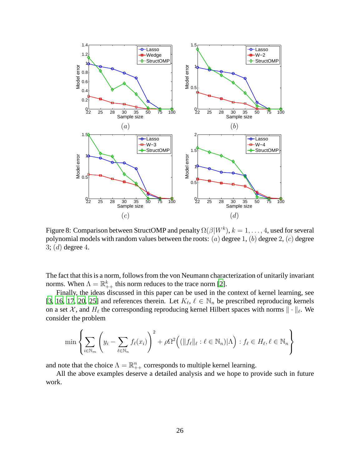

<span id="page-26-0"></span>Figure 8: Comparison between StructOMP and penalty  $\Omega(\beta|W^k)$ ,  $k = 1, \ldots, 4$ , used for several polynomial models with random values between the roots: (*a*) degree 1, (*b*) degree 2, (*c*) degree 3;  $(d)$  degree 4.

The fact that this is a norm, follows from the von Neumann characterization of unitarily invariant norms. When  $\Lambda = \mathbb{R}_{++}^k$  this norm reduces to the trace norm [\[2](#page-31-8)].

Finally, the ideas discussed in this paper can be used in the context of kernel learning, see [\[3,](#page-31-9) [16](#page-32-10), [17](#page-32-11), [20](#page-32-12), [25\]](#page-32-13) and references therein. Let  $K_{\ell}, \ell \in \mathbb{N}_n$  be prescribed reproducing kernels on a set X, and  $H_{\ell}$  the corresponding reproducing kernel Hilbert spaces with norms  $\|\cdot\|_{\ell}$ . We consider the problem

$$
\min \left\{ \sum_{i \in \mathbb{N}_m} \left( y_i - \sum_{\ell \in \mathbb{N}_n} f_\ell(x_i) \right)^2 + \rho \Omega^2 \Big( (\|f_\ell\|_\ell : \ell \in \mathbb{N}_n) | \Lambda \Big) : f_\ell \in H_\ell, \ell \in \mathbb{N}_n \right\}
$$

and note that the choice  $\Lambda = \mathbb{R}_{++}^n$  corresponds to multiple kernel learning.

All the above examples deserve a detailed analysis and we hope to provide such in future work.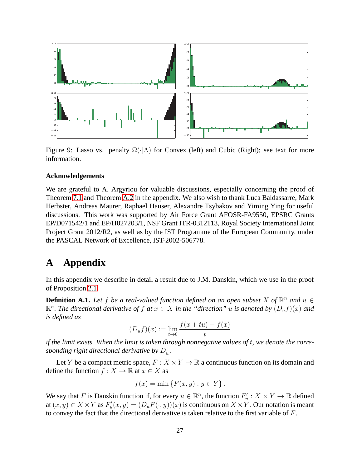

<span id="page-27-0"></span>Figure 9: Lasso vs. penalty  $\Omega(\cdot|\Lambda)$  for Convex (left) and Cubic (Right); see text for more information.

#### **Acknowledgements**

We are grateful to A. Argyriou for valuable discussions, especially concerning the proof of Theorem [7.1](#page-19-0) and Theorem [A.2](#page-30-0) in the appendix. We also wish to thank Luca Baldassarre, Mark Herbster, Andreas Maurer, Raphael Hauser, Alexandre Tsybakov and Yiming Ying for useful discussions. This work was supported by Air Force Grant AFOSR-FA9550, EPSRC Grants EP/D071542/1 and EP/H027203/1, NSF Grant ITR-0312113, Royal Society International Joint Project Grant 2012/R2, as well as by the IST Programme of the European Community, under the PASCAL Network of Excellence, IST-2002-506778.

## **A Appendix**

In this appendix we describe in detail a result due to J.M. Danskin, which we use in the proof of Proposition [2.1.](#page-4-0)

**Definition A.1.** Let f be a real-valued function defined on an open subset X of  $\mathbb{R}^n$  and  $u \in$  $\mathbb{R}^n$ . The directional derivative of f at  $x \in X$  in the "direction" u is denoted by  $(D_uf)(x)$  and *is defined as*

$$
(D_u f)(x) := \lim_{t \to 0} \frac{f(x + tu) - f(x)}{t}
$$

*if the limit exists. When the limit is taken through nonnegative values of* t*, we denote the corre*sponding right directional derivative by  $D^+_u$ .

Let Y be a compact metric space,  $F: X \times Y \to \mathbb{R}$  a continuous function on its domain and define the function  $f : X \to \mathbb{R}$  at  $x \in X$  as

$$
f(x) = \min \{ F(x, y) : y \in Y \}.
$$

We say that F is Danskin function if, for every  $u \in \mathbb{R}^n$ , the function  $F'_u : X \times Y \to \mathbb{R}$  defined at  $(x, y) \in X \times Y$  as  $F'_u(x, y) = (D_u F(\cdot, y))(x)$  is continuous on  $X \times Y$ . Our notation is meant to convey the fact that the directional derivative is taken relative to the first variable of F.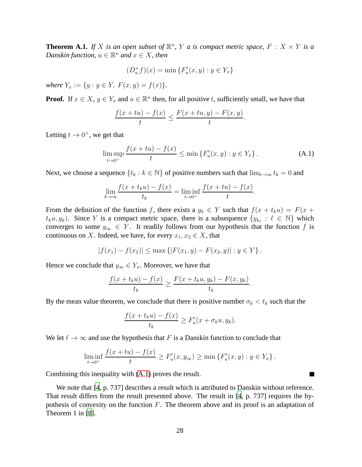<span id="page-28-1"></span>**Theorem A.1.** If X is an open subset of  $\mathbb{R}^n$ , Y a is compact metric space, F : X  $\times$  Y is a  $Danskin function, u \in \mathbb{R}^n$  and  $x \in X$ , then

$$
(D_u^+ f)(x) = \min \{ F'_u(x, y) : y \in Y_x \}
$$

*where*  $Y_x := \{y : y \in Y, F(x, y) = f(x)\}.$ 

**Proof.** If  $x \in X$ ,  $y \in Y_x$  and  $u \in \mathbb{R}^n$  then, for all positive t, sufficiently small, we have that

$$
\frac{f(x+tu)-f(x)}{t} \le \frac{F(x+tu,y)-F(x,y)}{t}.
$$

Letting  $t \to 0^+$ , we get that

<span id="page-28-0"></span>
$$
\limsup_{t \to 0^+} \frac{f(x+tu) - f(x)}{t} \le \min \{ F'_u(x, y) : y \in Y_x \}.
$$
 (A.1)

Next, we choose a sequence  $\{t_k : k \in \mathbb{N}\}$  of positive numbers such that  $\lim_{k \to \infty} t_k = 0$  and

$$
\lim_{k \to \infty} \frac{f(x + t_k u) - f(x)}{t_k} = \liminf_{t \to 0^+} \frac{f(x + tu) - f(x)}{t}.
$$

From the definition of the function f, there exists a  $y_k \in Y$  such that  $f(x + t_k u) = F(x +$  $t_k u, y_k$ ). Since Y is a compact metric space, there is a subsequence  $\{y_{k_\ell} : \ell \in \mathbb{N}\}\)$  which converges to some  $y_\infty \in Y$ . It readily follows from our hypothesis that the function f is continuous on X. Indeed, we have, for every  $x_1, x_2 \in X$ , that

$$
|f(x_1) - f(x_2)| \le \max \{|F(x_1, y) - F(x_2, y)| : y \in Y\}.
$$

Hence we conclude that  $y_\infty \in Y_x$ . Moreover, we have that

$$
\frac{f(x+t_ku)-f(x)}{t_k} \ge \frac{F(x+t_ku,y_k)-F(x,y_k)}{t_k}.
$$

By the mean value theorem, we conclude that there is positive number  $\sigma_k < t_k$  such that the

$$
\frac{f(x+t_ku)-f(x)}{t_k}\geq F'_u(x+\sigma_ku,y_k).
$$

We let  $\ell \to \infty$  and use the hypothesis that F is a Danskin function to conclude that

$$
\liminf_{t \to 0^+} \frac{f(x + tu) - f(x)}{t} \ge F'_u(x, y_\infty) \ge \min \{ F'_u(x, y) : y \in Y_x \}.
$$

П

Combining this inequality with [\(A.1\)](#page-28-0) proves the result.

We note that [\[4](#page-31-6), p. 737] describes a result which is attributed to Danskin without reference. That result differs from the result presented above. The result in [\[4,](#page-31-6) p. 737] requires the hypothesis of convexity on the function  $F$ . The theorem above and its proof is an adaptation of Theorem 1 in [\[8](#page-31-10)].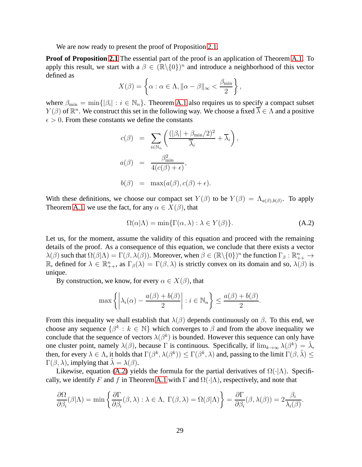We are now ready to present the proof of Proposition [2.1.](#page-4-0)

**Proof of Proposition [2.1](#page-4-0)** The essential part of the proof is an application of Theorem [A.1.](#page-28-1) To apply this result, we start with a  $\beta \in (\mathbb{R} \setminus \{0\})^n$  and introduce a neighborhood of this vector defined as

$$
X(\beta) = \left\{ \alpha : \alpha \in \Lambda, \|\alpha - \beta\|_{\infty} < \frac{\beta_{\min}}{2} \right\},\
$$

where  $\beta_{\min} = \min\{|\beta_i| : i \in \mathbb{N}_n\}$ . Theorem [A.1](#page-28-1) also requires us to specify a compact subset  $Y(\beta)$  of  $\mathbb{R}^n$ . We construct this set in the following way. We choose a fixed  $\overline{\lambda} \in \Lambda$  and a positive  $\epsilon > 0$ . From these constants we define the constants

$$
c(\beta) = \sum_{i \in \mathbb{N}_n} \left( \frac{(|\beta_i| + \beta_{\min}/2)^2}{\overline{\lambda}_i} + \overline{\lambda}_i \right),
$$
  

$$
a(\beta) = \frac{\beta_{\min}^2}{4(c(\beta) + \epsilon)},
$$
  

$$
b(\beta) = \max(a(\beta), c(\beta) + \epsilon).
$$

With these definitions, we choose our compact set  $Y(\beta)$  to be  $Y(\beta) = \Lambda_{a(\beta),b(\beta)}$ . To apply Theorem [A.1,](#page-28-1) we use the fact, for any  $\alpha \in X(\beta)$ , that

<span id="page-29-0"></span>
$$
\Omega(\alpha|\Lambda) = \min\{\Gamma(\alpha,\lambda) : \lambda \in Y(\beta)\}.
$$
 (A.2)

Let us, for the moment, assume the validity of this equation and proceed with the remaining details of the proof. As a consequence of this equation, we conclude that there exists a vector  $\lambda(\beta)$  such that  $\Omega(\beta|\Lambda) = \Gamma(\beta, \lambda(\beta))$ . Moreover, when  $\beta \in (\mathbb{R}\setminus\{0\})^n$  the function  $\Gamma_{\beta}: \mathbb{R}^n_{++} \to$ R, defined for  $\lambda \in \mathbb{R}_{++}^n$ , as  $\Gamma_{\beta}(\lambda) = \Gamma(\beta, \lambda)$  is strictly convex on its domain and so,  $\lambda(\beta)$  is unique.

By construction, we know, for every  $\alpha \in X(\beta)$ , that

$$
\max\left\{\left|\lambda_i(\alpha)-\frac{a(\beta)+b(\beta)}{2}\right| : i \in \mathbb{N}_n\right\} \le \frac{a(\beta)+b(\beta)}{2}.
$$

From this inequality we shall establish that  $\lambda(\beta)$  depends continuously on  $\beta$ . To this end, we choose any sequence  $\{\beta^k : k \in \mathbb{N}\}$  which converges to  $\beta$  and from the above inequality we conclude that the sequence of vectors  $\lambda(\beta^k)$  is bounded. However this sequence can only have one cluster point, namely  $\lambda(\beta)$ , because  $\Gamma$  is continuous. Specifically, if  $\lim_{k\to\infty}\lambda(\beta^k) = \tilde{\lambda}$ , then, for every  $\lambda \in \Lambda$ , it holds that  $\Gamma(\beta^k, \lambda(\beta^k)) \leq \Gamma(\beta^k, \lambda)$  and, passing to the limit  $\Gamma(\beta, \tilde{\lambda}) \leq$  $\Gamma(\beta, \lambda)$ , implying that  $\lambda = \lambda(\beta)$ .

Likewise, equation [\(A.2\)](#page-29-0) yields the formula for the partial derivatives of  $\Omega(\cdot|\Lambda)$ . Specifi-cally, we identify F and f in Theorem [A.1](#page-28-1) with  $\Gamma$  and  $\Omega(\cdot|\Lambda)$ , respectively, and note that

$$
\frac{\partial \Omega}{\partial \beta_i}(\beta|\Lambda) = \min \left\{ \frac{\partial \Gamma}{\partial \beta_i}(\beta,\lambda) : \lambda \in \Lambda, \ \Gamma(\beta,\lambda) = \Omega(\beta|\Lambda) \right\} = \frac{\partial \Gamma}{\partial \beta_i}(\beta,\lambda(\beta)) = 2 \frac{\beta_i}{\lambda_i(\beta)}.
$$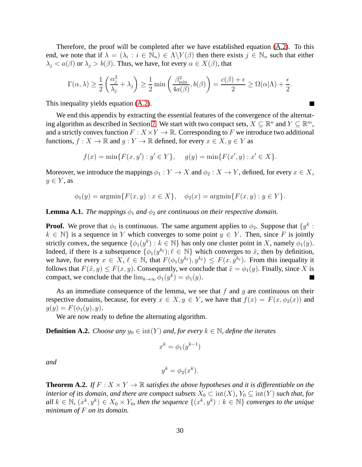Therefore, the proof will be completed after we have established equation  $(A.2)$ . To this end, we note that if  $\lambda = (\lambda_i : i \in \mathbb{N}_n) \in \Lambda \backslash Y(\beta)$  then there exists  $j \in \mathbb{N}_n$  such that either  $\lambda_j < a(\beta)$  or  $\lambda_j > b(\beta)$ . Thus, we have, for every  $\alpha \in X(\beta)$ , that

$$
\Gamma(\alpha,\lambda) \ge \frac{1}{2} \left( \frac{\alpha_j^2}{\lambda_j} + \lambda_j \right) \ge \frac{1}{2} \min \left( \frac{\beta_{\min}^2}{4a(\beta)}, b(\beta) \right) = \frac{c(\beta) + \epsilon}{2} \ge \Omega(\alpha|\Lambda) + \frac{\epsilon}{2}.
$$

 $\blacksquare$ 

This inequality yields equation [\(A.2\)](#page-29-0).

We end this appendix by extracting the essential features of the convergence of the alternat-ing algorithm as described in Section [7.](#page-18-0) We start with two compact sets,  $X \subseteq \mathbb{R}^n$  and  $Y \subseteq \mathbb{R}^m$ , and a strictly convex function  $F: X \times Y \to \mathbb{R}$ . Corresponding to F we introduce two additional functions,  $f: X \to \mathbb{R}$  and  $g: Y \to \mathbb{R}$  defined, for every  $x \in X, y \in Y$  as

$$
f(x) = \min\{F(x, y') : y' \in Y\}, \quad g(y) = \min\{F(x', y) : x' \in X\}.
$$

Moreover, we introduce the mappings  $\phi_1 : Y \to X$  and  $\phi_2 : X \to Y$ , defined, for every  $x \in X$ ,  $y \in Y$ , as

$$
\phi_1(y) = \operatorname{argmin} \{ F(x, y) : x \in X \}, \quad \phi_2(x) = \operatorname{argmin} \{ F(x, y) : y \in Y \}.
$$

#### **Lemma A.1.** *The mappings*  $\phi_1$  *and*  $\phi_2$  *are continuous on their respective domain.*

**Proof.** We prove that  $\phi_1$  is continuous. The same argument applies to  $\phi_2$ . Suppose that  $\{y^k: \phi_1, \ldots, \phi_n\}$  $k \in \mathbb{N}$  is a sequence in Y which converges to some point  $y \in Y$ . Then, since F is jointly strictly convex, the sequence  $\{\phi_1(y^k) : k \in \mathbb{N}\}$  has only one cluster point in X, namely  $\phi_1(y)$ . Indeed, if there is a subsequence  $\{\phi_1(y^{k_\ell}); \ell \in \mathbb{N}\}\$  which converges to  $\tilde{x}$ , then by definition, we have, for every  $x \in X$ ,  $\ell \in \mathbb{N}$ , that  $F(\phi_1(y^{k_{\ell}}), y^{k_{\ell}}) \leq F(x, y^{k_{\ell}})$ . From this inequality it follows that  $F(\tilde{x}, y) \leq F(x, y)$ . Consequently, we conclude that  $\tilde{x} = \phi_1(y)$ . Finally, since X is compact, we conclude that the  $\lim_{k\to\infty} \phi_1(y^k) = \phi_1(y)$ .  $\blacksquare$ 

As an immediate consequence of the lemma, we see that  $f$  and  $g$  are continuous on their respective domains, because, for every  $x \in X, y \in Y$ , we have that  $f(x) = F(x, \phi_2(x))$  and  $g(y) = F(\phi_1(y), y).$ 

We are now ready to define the alternating algorithm.

**Definition A.2.** *Choose any*  $y_0 \in \text{int}(Y)$  *and, for every*  $k \in \mathbb{N}$ *, define the iterates* 

$$
x^k = \phi_1(y^{k-1})
$$

*and*

$$
y^k = \phi_2(x^k).
$$

<span id="page-30-0"></span>**Theorem A.2.** If  $F: X \times Y \to \mathbb{R}$  satisfies the above hypotheses and it is differentiable on the *interior of its domain, and there are compact subsets*  $X_0 \subset \text{int}(X)$ ,  $Y_0 \subseteq \text{int}(Y)$  *such that, for*  $all \ k \in \mathbb{N}, \ (x^k, y^k) \in X_0 \times Y_0$ , then the sequence  $\{(x^k, y^k) : k \in \mathbb{N}\}$  converges to the unique *minimum of* F *on its domain.*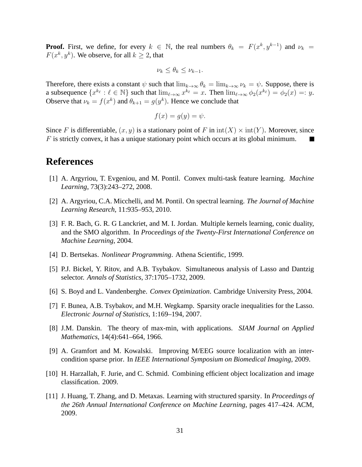**Proof.** First, we define, for every  $k \in \mathbb{N}$ , the real numbers  $\theta_k = F(x^k, y^{k-1})$  and  $\nu_k =$  $F(x^k, y^k)$ . We observe, for all  $k \ge 2$ , that

$$
\nu_k \le \theta_k \le \nu_{k-1}.
$$

Therefore, there exists a constant  $\psi$  such that  $\lim_{k\to\infty} \theta_k = \lim_{k\to\infty} \nu_k = \psi$ . Suppose, there is a subsequence  $\{x^{k_\ell}: \ell \in \mathbb{N}\}$  such that  $\lim_{\ell \to \infty} x^{k_\ell} = x$ . Then  $\lim_{\ell \to \infty} \phi_2(x^{k_\ell}) = \phi_2(x) =: y$ . Observe that  $\nu_k = f(x^k)$  and  $\theta_{k+1} = g(y^k)$ . Hence we conclude that

$$
f(x) = g(y) = \psi.
$$

Since F is differentiable,  $(x, y)$  is a stationary point of F in  $\text{int}(X) \times \text{int}(Y)$ . Moreover, since F is strictly convex, it has a unique stationary point which occurs at its global minimum. П

### **References**

- <span id="page-31-4"></span>[1] A. Argyriou, T. Evgeniou, and M. Pontil. Convex multi-task feature learning. *Machine Learning*, 73(3):243–272, 2008.
- <span id="page-31-8"></span>[2] A. Argyriou, C.A. Micchelli, and M. Pontil. On spectral learning. *The Journal of Machine Learning Research*, 11:935–953, 2010.
- <span id="page-31-9"></span>[3] F. R. Bach, G. R. G Lanckriet, and M. I. Jordan. Multiple kernels learning, conic duality, and the SMO algorithm. In *Proceedings of the Twenty-First International Conference on Machine Learning*, 2004.
- <span id="page-31-6"></span>[4] D. Bertsekas. *Nonlinear Programming*. Athena Scientific, 1999.
- <span id="page-31-0"></span>[5] P.J. Bickel, Y. Ritov, and A.B. Tsybakov. Simultaneous analysis of Lasso and Dantzig selector. *Annals of Statistics*, 37:1705–1732, 2009.
- <span id="page-31-7"></span>[6] S. Boyd and L. Vandenberghe. *Convex Optimization*. Cambridge University Press, 2004.
- <span id="page-31-1"></span>[7] F. Bunea, A.B. Tsybakov, and M.H. Wegkamp. Sparsity oracle inequalities for the Lasso. *Electronic Journal of Statistics*, 1:169–194, 2007.
- <span id="page-31-10"></span>[8] J.M. Danskin. The theory of max-min, with applications. *SIAM Journal on Applied Mathematics*, 14(4):641–664, 1966.
- <span id="page-31-2"></span>[9] A. Gramfort and M. Kowalski. Improving M/EEG source localization with an intercondition sparse prior. In *IEEE International Symposium on Biomedical Imaging*, 2009.
- <span id="page-31-3"></span>[10] H. Harzallah, F. Jurie, and C. Schmid. Combining efficient object localization and image classification. 2009.
- <span id="page-31-5"></span>[11] J. Huang, T. Zhang, and D. Metaxas. Learning with structured sparsity. In *Proceedings of the 26th Annual International Conference on Machine Learning*, pages 417–424. ACM, 2009.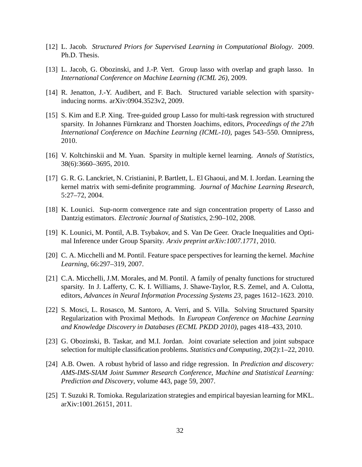- <span id="page-32-8"></span>[12] L. Jacob. *Structured Priors for Supervised Learning in Computational Biology*. 2009. Ph.D. Thesis.
- <span id="page-32-4"></span>[13] L. Jacob, G. Obozinski, and J.-P. Vert. Group lasso with overlap and graph lasso. In *International Conference on Machine Learning (ICML 26)*, 2009.
- <span id="page-32-3"></span>[14] R. Jenatton, J.-Y. Audibert, and F. Bach. Structured variable selection with sparsityinducing norms. arXiv:0904.3523v2, 2009.
- <span id="page-32-1"></span>[15] S. Kim and E.P. Xing. Tree-guided group Lasso for multi-task regression with structured sparsity. In Johannes Fürnkranz and Thorsten Joachims, editors, *Proceedings of the 27th International Conference on Machine Learning (ICML-10)*, pages 543–550. Omnipress, 2010.
- <span id="page-32-10"></span>[16] V. Koltchinskii and M. Yuan. Sparsity in multiple kernel learning. *Annals of Statistics*, 38(6):3660–3695, 2010.
- <span id="page-32-11"></span>[17] G. R. G. Lanckriet, N. Cristianini, P. Bartlett, L. El Ghaoui, and M. I. Jordan. Learning the kernel matrix with semi-definite programming. *Journal of Machine Learning Research*, 5:27–72, 2004.
- <span id="page-32-0"></span>[18] K. Lounici. Sup-norm convergence rate and sign concentration property of Lasso and Dantzig estimators. *Electronic Journal of Statistics*, 2:90–102, 2008.
- <span id="page-32-5"></span>[19] K. Lounici, M. Pontil, A.B. Tsybakov, and S. Van De Geer. Oracle Inequalities and Optimal Inference under Group Sparsity. *Arxiv preprint arXiv:1007.1771*, 2010.
- <span id="page-32-12"></span>[20] C. A. Micchelli and M. Pontil. Feature space perspectives for learning the kernel. *Machine Learning*, 66:297–319, 2007.
- <span id="page-32-7"></span>[21] C.A. Micchelli, J.M. Morales, and M. Pontil. A family of penalty functions for structured sparsity. In J. Lafferty, C. K. I. Williams, J. Shawe-Taylor, R.S. Zemel, and A. Culotta, editors, *Advances in Neural Information Processing Systems 23*, pages 1612–1623. 2010.
- <span id="page-32-6"></span>[22] S. Mosci, L. Rosasco, M. Santoro, A. Verri, and S. Villa. Solving Structured Sparsity Regularization with Proximal Methods. In *European Conference on Machine Learning and Knowledge Discovery in Databases (ECML PKDD 2010)*, pages 418–433, 2010.
- <span id="page-32-2"></span>[23] G. Obozinski, B. Taskar, and M.I. Jordan. Joint covariate selection and joint subspace selection for multiple classification problems. *Statistics and Computing*, 20(2):1–22, 2010.
- <span id="page-32-9"></span>[24] A.B. Owen. A robust hybrid of lasso and ridge regression. In *Prediction and discovery: AMS-IMS-SIAM Joint Summer Research Conference, Machine and Statistical Learning: Prediction and Discovery*, volume 443, page 59, 2007.
- <span id="page-32-13"></span>[25] T. Suzuki R. Tomioka. Regularization strategies and empirical bayesian learning for MKL. arXiv:1001.26151, 2011.